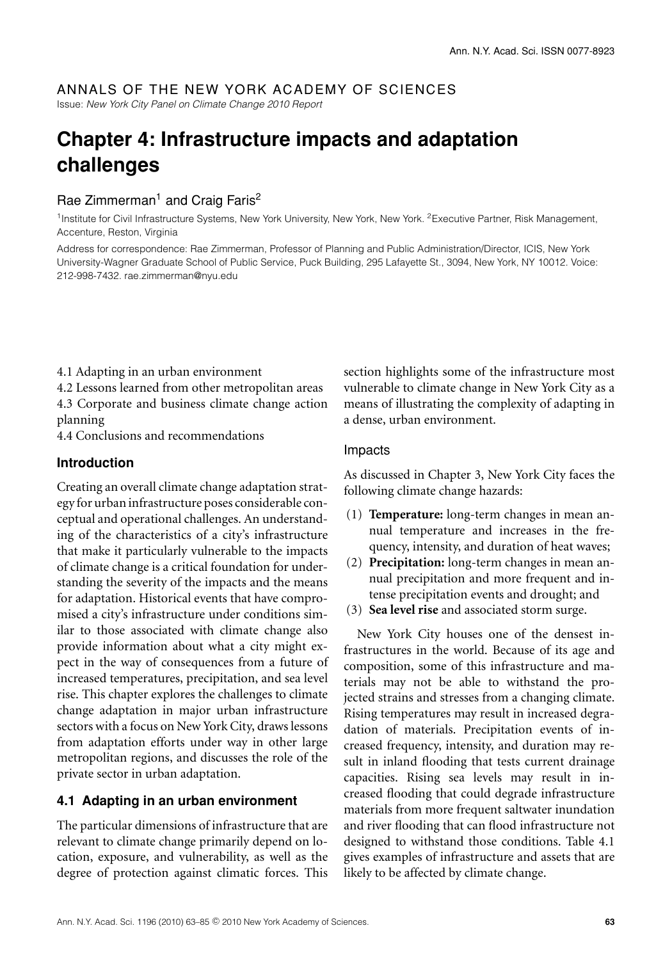# ANNALS OF THE NEW YORK ACADEMY OF SCIENCES

Issue: New York City Panel on Climate Change 2010 Report

# **Chapter 4: Infrastructure impacts and adaptation challenges**

# Rae Zimmerman<sup>1</sup> and Craig Faris<sup>2</sup>

<sup>1</sup>Institute for Civil Infrastructure Systems, New York University, New York, New York. <sup>2</sup>Executive Partner, Risk Management, Accenture, Reston, Virginia

Address for correspondence: Rae Zimmerman, Professor of Planning and Public Administration/Director, ICIS, New York University-Wagner Graduate School of Public Service, Puck Building, 295 Lafayette St., 3094, New York, NY 10012. Voice: 212-998-7432. rae.zimmerman@nyu.edu

4.1 Adapting in an urban environment

- 4.2 Lessons learned from other metropolitan areas
- 4.3 Corporate and business climate change action planning

4.4 Conclusions and recommendations

## **Introduction**

Creating an overall climate change adaptation strategy for urban infrastructure poses considerable conceptual and operational challenges. An understanding of the characteristics of a city's infrastructure that make it particularly vulnerable to the impacts of climate change is a critical foundation for understanding the severity of the impacts and the means for adaptation. Historical events that have compromised a city's infrastructure under conditions similar to those associated with climate change also provide information about what a city might expect in the way of consequences from a future of increased temperatures, precipitation, and sea level rise. This chapter explores the challenges to climate change adaptation in major urban infrastructure sectors with a focus on New York City, draws lessons from adaptation efforts under way in other large metropolitan regions, and discusses the role of the private sector in urban adaptation.

## **4.1 Adapting in an urban environment**

The particular dimensions of infrastructure that are relevant to climate change primarily depend on location, exposure, and vulnerability, as well as the degree of protection against climatic forces. This section highlights some of the infrastructure most vulnerable to climate change in New York City as a means of illustrating the complexity of adapting in a dense, urban environment.

## Impacts

As discussed in Chapter 3, New York City faces the following climate change hazards:

- (1) **Temperature:** long-term changes in mean annual temperature and increases in the frequency, intensity, and duration of heat waves;
- (2) **Precipitation:** long-term changes in mean annual precipitation and more frequent and intense precipitation events and drought; and
- (3) **Sea level rise** and associated storm surge.

New York City houses one of the densest infrastructures in the world. Because of its age and composition, some of this infrastructure and materials may not be able to withstand the projected strains and stresses from a changing climate. Rising temperatures may result in increased degradation of materials. Precipitation events of increased frequency, intensity, and duration may result in inland flooding that tests current drainage capacities. Rising sea levels may result in increased flooding that could degrade infrastructure materials from more frequent saltwater inundation and river flooding that can flood infrastructure not designed to withstand those conditions. Table 4.1 gives examples of infrastructure and assets that are likely to be affected by climate change.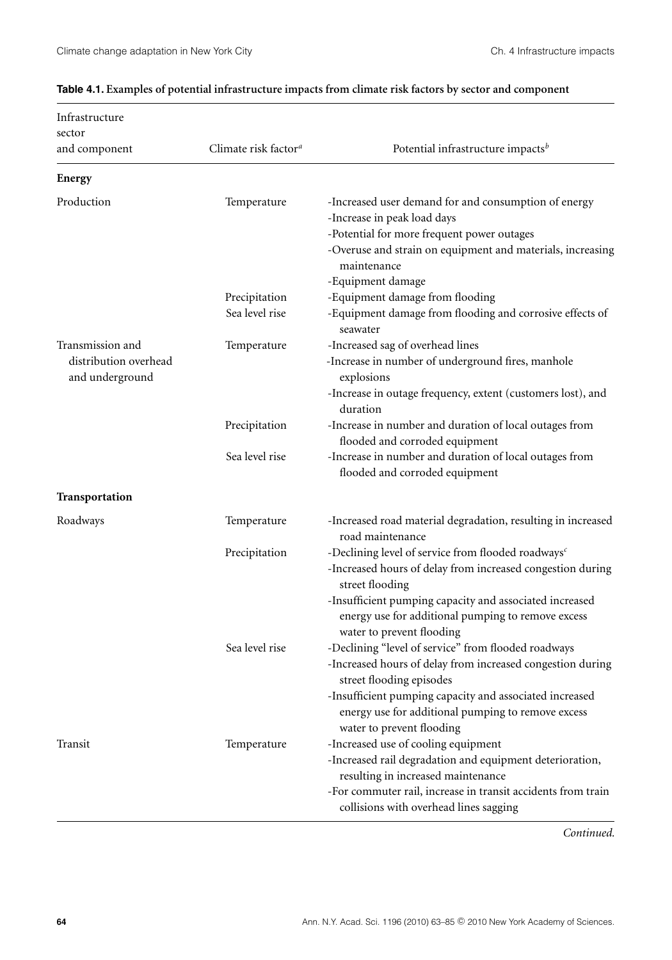| Infrastructure                                               |                                  |                                                                                                                                                                                                                                                                                               |
|--------------------------------------------------------------|----------------------------------|-----------------------------------------------------------------------------------------------------------------------------------------------------------------------------------------------------------------------------------------------------------------------------------------------|
| sector<br>and component                                      | Climate risk factor <sup>a</sup> | Potential infrastructure impacts <sup>b</sup>                                                                                                                                                                                                                                                 |
| Energy                                                       |                                  |                                                                                                                                                                                                                                                                                               |
| Production                                                   | Temperature                      | -Increased user demand for and consumption of energy<br>-Increase in peak load days<br>-Potential for more frequent power outages<br>-Overuse and strain on equipment and materials, increasing<br>maintenance                                                                                |
|                                                              |                                  | -Equipment damage                                                                                                                                                                                                                                                                             |
|                                                              | Precipitation<br>Sea level rise  | -Equipment damage from flooding<br>-Equipment damage from flooding and corrosive effects of<br>seawater                                                                                                                                                                                       |
| Transmission and<br>distribution overhead<br>and underground | Temperature                      | -Increased sag of overhead lines<br>-Increase in number of underground fires, manhole<br>explosions<br>-Increase in outage frequency, extent (customers lost), and<br>duration                                                                                                                |
|                                                              | Precipitation                    | -Increase in number and duration of local outages from<br>flooded and corroded equipment                                                                                                                                                                                                      |
|                                                              | Sea level rise                   | -Increase in number and duration of local outages from<br>flooded and corroded equipment                                                                                                                                                                                                      |
| Transportation                                               |                                  |                                                                                                                                                                                                                                                                                               |
| Roadways                                                     | Temperature                      | -Increased road material degradation, resulting in increased<br>road maintenance                                                                                                                                                                                                              |
|                                                              | Precipitation                    | -Declining level of service from flooded roadways <sup>c</sup><br>-Increased hours of delay from increased congestion during<br>street flooding<br>-Insufficient pumping capacity and associated increased<br>energy use for additional pumping to remove excess<br>water to prevent flooding |
|                                                              | Sea level rise                   | -Declining "level of service" from flooded roadways<br>-Increased hours of delay from increased congestion during<br>street flooding episodes<br>-Insufficient pumping capacity and associated increased<br>energy use for additional pumping to remove excess<br>water to prevent flooding   |
| Transit                                                      | Temperature                      | -Increased use of cooling equipment<br>-Increased rail degradation and equipment deterioration,<br>resulting in increased maintenance<br>-For commuter rail, increase in transit accidents from train<br>collisions with overhead lines sagging                                               |

## **Table 4.1. Examples of potential infrastructure impacts from climate risk factors by sector and component**

*Continued.*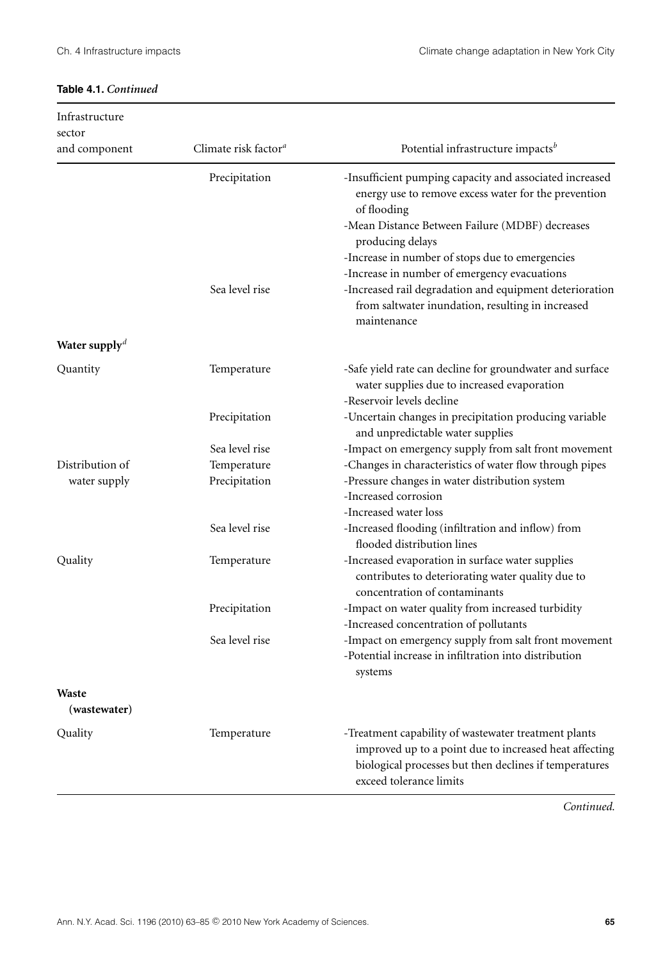# Infrastructure sector and component Climate risk factor<sup>a</sup> Potential infrastructure impacts<sup>b</sup> Precipitation -Insufficient pumping capacity and associated increased energy use to remove excess water for the prevention of flooding -Mean Distance Between Failure (MDBF) decreases producing delays -Increase in number of stops due to emergencies -Increase in number of emergency evacuations Sea level rise **-Increased rail degradation and equipment deterioration** from saltwater inundation, resulting in increased maintenance **Water supply***<sup>d</sup>* Quantity Temperature -Safe yield rate can decline for groundwater and surface water supplies due to increased evaporation -Reservoir levels decline Precipitation -Uncertain changes in precipitation producing variable and unpredictable water supplies Sea level rise **-Impact on emergency supply from salt front movement** Distribution of Temperature -Changes in characteristics of water flow through pipes water supply **Precipitation** -Pressure changes in water distribution system -Increased corrosion -Increased water loss Sea level rise -Increased flooding (infiltration and inflow) from flooded distribution lines Quality Temperature -Increased evaporation in surface water supplies contributes to deteriorating water quality due to concentration of contaminants Precipitation -Impact on water quality from increased turbidity -Increased concentration of pollutants Sea level rise -Impact on emergency supply from salt front movement -Potential increase in infiltration into distribution systems **Waste (wastewater)** Quality Temperature -Treatment capability of wastewater treatment plants improved up to a point due to increased heat affecting biological processes but then declines if temperatures exceed tolerance limits

#### **Table 4.1.** *Continued*

*Continued.*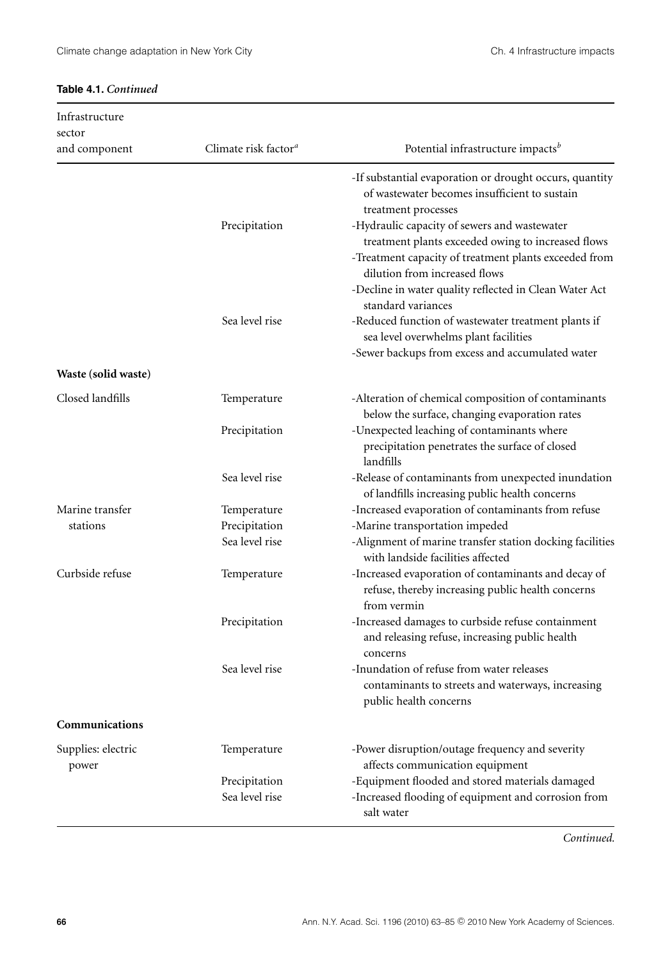## **Table 4.1.** *Continued*

| Infrastructure              |                                  |                                                                                                                                                                                              |
|-----------------------------|----------------------------------|----------------------------------------------------------------------------------------------------------------------------------------------------------------------------------------------|
| sector<br>and component     | Climate risk factor <sup>a</sup> | Potential infrastructure impacts <sup>b</sup>                                                                                                                                                |
|                             |                                  | -If substantial evaporation or drought occurs, quantity<br>of wastewater becomes insufficient to sustain<br>treatment processes                                                              |
|                             | Precipitation                    | -Hydraulic capacity of sewers and wastewater<br>treatment plants exceeded owing to increased flows<br>-Treatment capacity of treatment plants exceeded from<br>dilution from increased flows |
|                             |                                  | -Decline in water quality reflected in Clean Water Act<br>standard variances                                                                                                                 |
|                             | Sea level rise                   | -Reduced function of wastewater treatment plants if<br>sea level overwhelms plant facilities                                                                                                 |
| Waste (solid waste)         |                                  | -Sewer backups from excess and accumulated water                                                                                                                                             |
| Closed landfills            | Temperature                      | -Alteration of chemical composition of contaminants<br>below the surface, changing evaporation rates                                                                                         |
|                             | Precipitation                    | -Unexpected leaching of contaminants where<br>precipitation penetrates the surface of closed<br>landfills                                                                                    |
|                             | Sea level rise                   | -Release of contaminants from unexpected inundation<br>of landfills increasing public health concerns                                                                                        |
| Marine transfer             | Temperature                      | -Increased evaporation of contaminants from refuse                                                                                                                                           |
| stations                    | Precipitation                    | -Marine transportation impeded                                                                                                                                                               |
|                             | Sea level rise                   | -Alignment of marine transfer station docking facilities<br>with landside facilities affected                                                                                                |
| Curbside refuse             | Temperature                      | -Increased evaporation of contaminants and decay of<br>refuse, thereby increasing public health concerns<br>from vermin                                                                      |
|                             | Precipitation                    | -Increased damages to curbside refuse containment<br>and releasing refuse, increasing public health<br>concerns                                                                              |
|                             | Sea level rise                   | -Inundation of refuse from water releases<br>contaminants to streets and waterways, increasing<br>public health concerns                                                                     |
| Communications              |                                  |                                                                                                                                                                                              |
| Supplies: electric<br>power | Temperature                      | -Power disruption/outage frequency and severity<br>affects communication equipment                                                                                                           |
|                             | Precipitation                    | -Equipment flooded and stored materials damaged                                                                                                                                              |
|                             | Sea level rise                   | -Increased flooding of equipment and corrosion from<br>salt water                                                                                                                            |

*Continued.*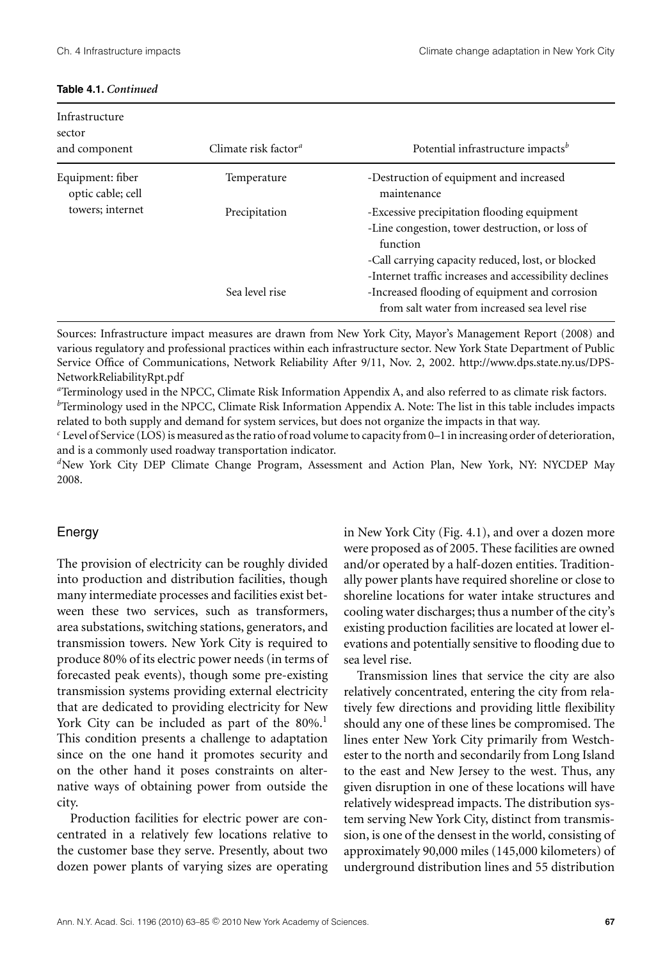| Infrastructure<br>sector<br>and component | Climate risk factor <sup>a</sup> | Potential infrastructure impacts <sup>b</sup>                                                                                                                                                                             |
|-------------------------------------------|----------------------------------|---------------------------------------------------------------------------------------------------------------------------------------------------------------------------------------------------------------------------|
| Equipment: fiber<br>optic cable; cell     | Temperature                      | -Destruction of equipment and increased<br>maintenance                                                                                                                                                                    |
| towers; internet                          | Precipitation                    | -Excessive precipitation flooding equipment<br>-Line congestion, tower destruction, or loss of<br>function<br>-Call carrying capacity reduced, lost, or blocked<br>-Internet traffic increases and accessibility declines |
|                                           | Sea level rise                   | -Increased flooding of equipment and corrosion<br>from salt water from increased sea level rise                                                                                                                           |

#### **Table 4.1.** *Continued*

Sources: Infrastructure impact measures are drawn from New York City, Mayor's Management Report (2008) and various regulatory and professional practices within each infrastructure sector. New York State Department of Public Service Office of Communications, Network Reliability After 9/11, Nov. 2, 2002. http://www.dps.state.ny.us/DPS-NetworkReliabilityRpt.pdf

*<sup>a</sup>*Terminology used in the NPCC, Climate Risk Information Appendix A, and also referred to as climate risk factors.

*<sup>b</sup>*Terminology used in the NPCC, Climate Risk Information Appendix A. Note: The list in this table includes impacts related to both supply and demand for system services, but does not organize the impacts in that way.

*<sup>c</sup>* Level of Service (LOS) is measured as the ratio of road volume to capacity from 0–1 in increasing order of deterioration, and is a commonly used roadway transportation indicator.

<sup>d</sup>New York City DEP Climate Change Program, Assessment and Action Plan, New York, NY: NYCDEP May 2008.

#### Energy

The provision of electricity can be roughly divided into production and distribution facilities, though many intermediate processes and facilities exist between these two services, such as transformers, area substations, switching stations, generators, and transmission towers. New York City is required to produce 80% of its electric power needs (in terms of forecasted peak events), though some pre-existing transmission systems providing external electricity that are dedicated to providing electricity for New York City can be included as part of the 80%.<sup>1</sup> This condition presents a challenge to adaptation since on the one hand it promotes security and on the other hand it poses constraints on alternative ways of obtaining power from outside the city.

Production facilities for electric power are concentrated in a relatively few locations relative to the customer base they serve. Presently, about two dozen power plants of varying sizes are operating in New York City (Fig. 4.1), and over a dozen more were proposed as of 2005. These facilities are owned and/or operated by a half-dozen entities. Traditionally power plants have required shoreline or close to shoreline locations for water intake structures and cooling water discharges; thus a number of the city's existing production facilities are located at lower elevations and potentially sensitive to flooding due to sea level rise.

Transmission lines that service the city are also relatively concentrated, entering the city from relatively few directions and providing little flexibility should any one of these lines be compromised. The lines enter New York City primarily from Westchester to the north and secondarily from Long Island to the east and New Jersey to the west. Thus, any given disruption in one of these locations will have relatively widespread impacts. The distribution system serving New York City, distinct from transmission, is one of the densest in the world, consisting of approximately 90,000 miles (145,000 kilometers) of underground distribution lines and 55 distribution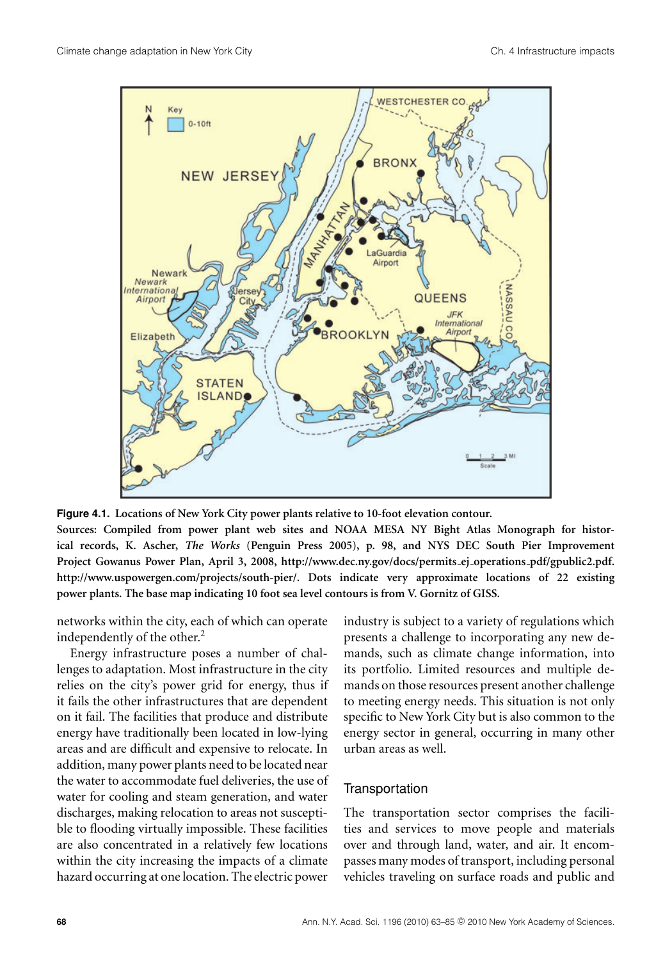

**Figure 4.1. Locations of New York City power plants relative to 10-foot elevation contour.**

**Sources: Compiled from power plant web sites and NOAA MESA NY Bight Atlas Monograph for historical records, K. Ascher,** *The Works* **(Penguin Press 2005), p. 98, and NYS DEC South Pier Improvement Project Gowanus Power Plan, April 3, 2008, http://www.dec.ny.gov/docs/permits ej operations pdf/gpublic2.pdf. http://www.uspowergen.com/projects/south-pier/. Dots indicate very approximate locations of 22 existing power plants. The base map indicating 10 foot sea level contours is from V. Gornitz of GISS.**

networks within the city, each of which can operate independently of the other.<sup>2</sup>

Energy infrastructure poses a number of challenges to adaptation. Most infrastructure in the city relies on the city's power grid for energy, thus if it fails the other infrastructures that are dependent on it fail. The facilities that produce and distribute energy have traditionally been located in low-lying areas and are difficult and expensive to relocate. In addition, many power plants need to be located near the water to accommodate fuel deliveries, the use of water for cooling and steam generation, and water discharges, making relocation to areas not susceptible to flooding virtually impossible. These facilities are also concentrated in a relatively few locations within the city increasing the impacts of a climate hazard occurring at one location. The electric power

industry is subject to a variety of regulations which presents a challenge to incorporating any new demands, such as climate change information, into its portfolio. Limited resources and multiple demands on those resources present another challenge to meeting energy needs. This situation is not only specific to New York City but is also common to the energy sector in general, occurring in many other urban areas as well.

## **Transportation**

The transportation sector comprises the facilities and services to move people and materials over and through land, water, and air. It encompasses many modes of transport, including personal vehicles traveling on surface roads and public and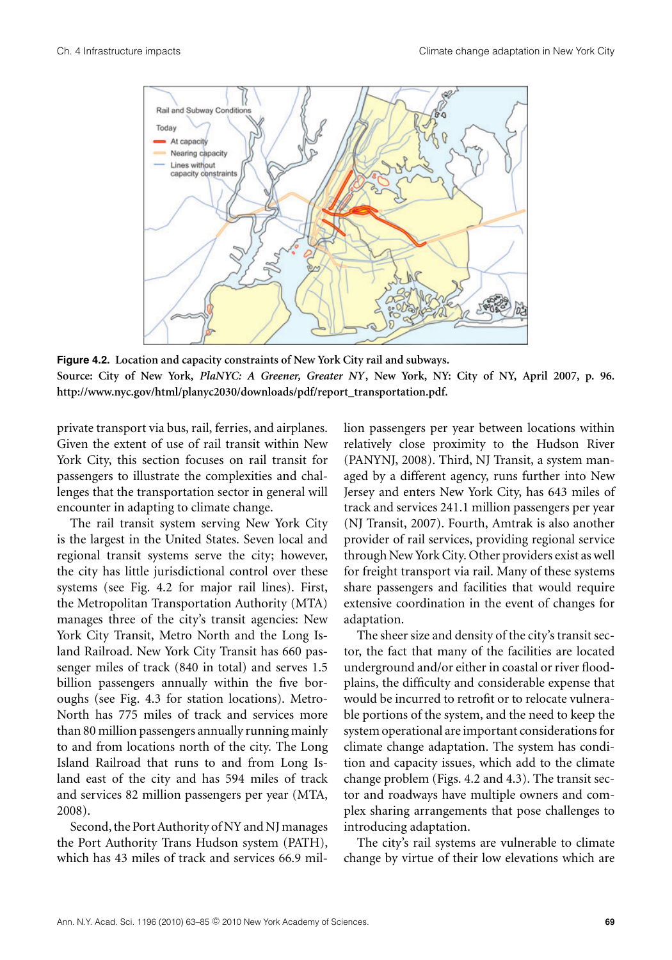

**Figure 4.2. Location and capacity constraints of New York City rail and subways. Source: City of New York,** *PlaNYC: A Greener, Greater NY***, New York, NY: City of NY, April 2007, p. 96. http://www.nyc.gov/html/planyc2030/downloads/pdf/report\_transportation.pdf.**

private transport via bus, rail, ferries, and airplanes. Given the extent of use of rail transit within New York City, this section focuses on rail transit for passengers to illustrate the complexities and challenges that the transportation sector in general will encounter in adapting to climate change.

The rail transit system serving New York City is the largest in the United States. Seven local and regional transit systems serve the city; however, the city has little jurisdictional control over these systems (see Fig. 4.2 for major rail lines). First, the Metropolitan Transportation Authority (MTA) manages three of the city's transit agencies: New York City Transit, Metro North and the Long Island Railroad. New York City Transit has 660 passenger miles of track (840 in total) and serves 1.5 billion passengers annually within the five boroughs (see Fig. 4.3 for station locations). Metro-North has 775 miles of track and services more than 80 million passengers annually running mainly to and from locations north of the city. The Long Island Railroad that runs to and from Long Island east of the city and has 594 miles of track and services 82 million passengers per year (MTA, 2008).

Second, the Port Authority of NY and NJ manages the Port Authority Trans Hudson system (PATH), which has 43 miles of track and services 66.9 million passengers per year between locations within relatively close proximity to the Hudson River (PANYNJ, 2008). Third, NJ Transit, a system managed by a different agency, runs further into New Jersey and enters New York City, has 643 miles of track and services 241.1 million passengers per year (NJ Transit, 2007). Fourth, Amtrak is also another provider of rail services, providing regional service through New York City. Other providers exist as well for freight transport via rail. Many of these systems share passengers and facilities that would require extensive coordination in the event of changes for adaptation.

The sheer size and density of the city's transit sector, the fact that many of the facilities are located underground and/or either in coastal or river floodplains, the difficulty and considerable expense that would be incurred to retrofit or to relocate vulnerable portions of the system, and the need to keep the system operational are important considerations for climate change adaptation. The system has condition and capacity issues, which add to the climate change problem (Figs. 4.2 and 4.3). The transit sector and roadways have multiple owners and complex sharing arrangements that pose challenges to introducing adaptation.

The city's rail systems are vulnerable to climate change by virtue of their low elevations which are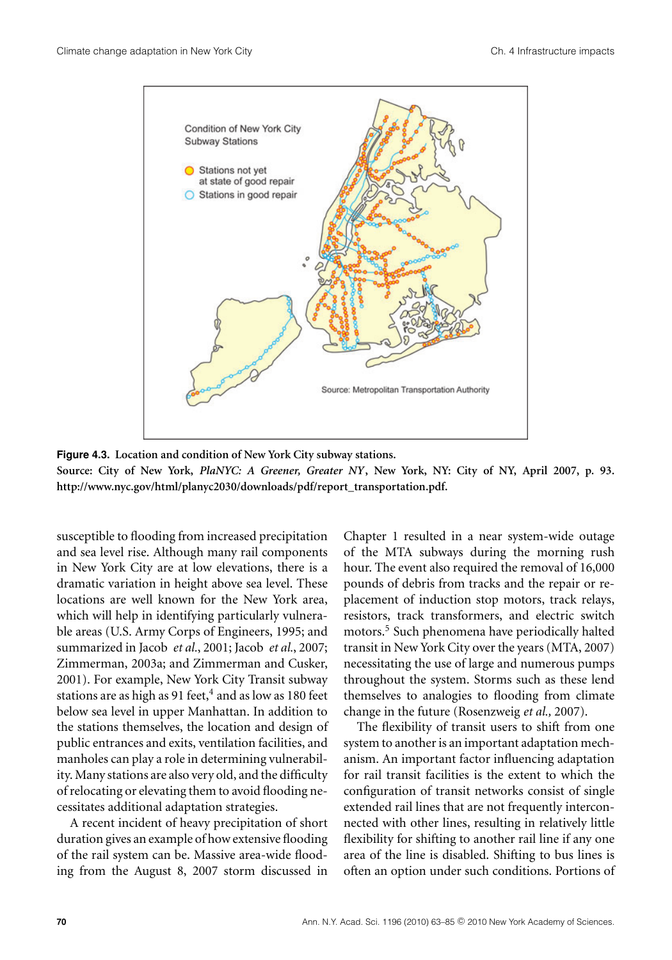

**Figure 4.3. Location and condition of New York City subway stations.**

**Source: City of New York,** *PlaNYC: A Greener, Greater NY***, New York, NY: City of NY, April 2007, p. 93. http://www.nyc.gov/html/planyc2030/downloads/pdf/report\_transportation.pdf.**

susceptible to flooding from increased precipitation and sea level rise. Although many rail components in New York City are at low elevations, there is a dramatic variation in height above sea level. These locations are well known for the New York area, which will help in identifying particularly vulnerable areas (U.S. Army Corps of Engineers, 1995; and summarized in Jacob *et al.*, 2001; Jacob *et al.*, 2007; Zimmerman, 2003a; and Zimmerman and Cusker, 2001). For example, New York City Transit subway stations are as high as 91 feet, $4$  and as low as 180 feet below sea level in upper Manhattan. In addition to the stations themselves, the location and design of public entrances and exits, ventilation facilities, and manholes can play a role in determining vulnerability. Many stations are also very old, and the difficulty of relocating or elevating them to avoid flooding necessitates additional adaptation strategies.

A recent incident of heavy precipitation of short duration gives an example of how extensive flooding of the rail system can be. Massive area-wide flooding from the August 8, 2007 storm discussed in Chapter 1 resulted in a near system-wide outage of the MTA subways during the morning rush hour. The event also required the removal of 16,000 pounds of debris from tracks and the repair or replacement of induction stop motors, track relays, resistors, track transformers, and electric switch motors.<sup>5</sup> Such phenomena have periodically halted transit in New York City over the years (MTA, 2007) necessitating the use of large and numerous pumps throughout the system. Storms such as these lend themselves to analogies to flooding from climate change in the future (Rosenzweig *et al.,* 2007).

The flexibility of transit users to shift from one system to another is an important adaptation mechanism. An important factor influencing adaptation for rail transit facilities is the extent to which the configuration of transit networks consist of single extended rail lines that are not frequently interconnected with other lines, resulting in relatively little flexibility for shifting to another rail line if any one area of the line is disabled. Shifting to bus lines is often an option under such conditions. Portions of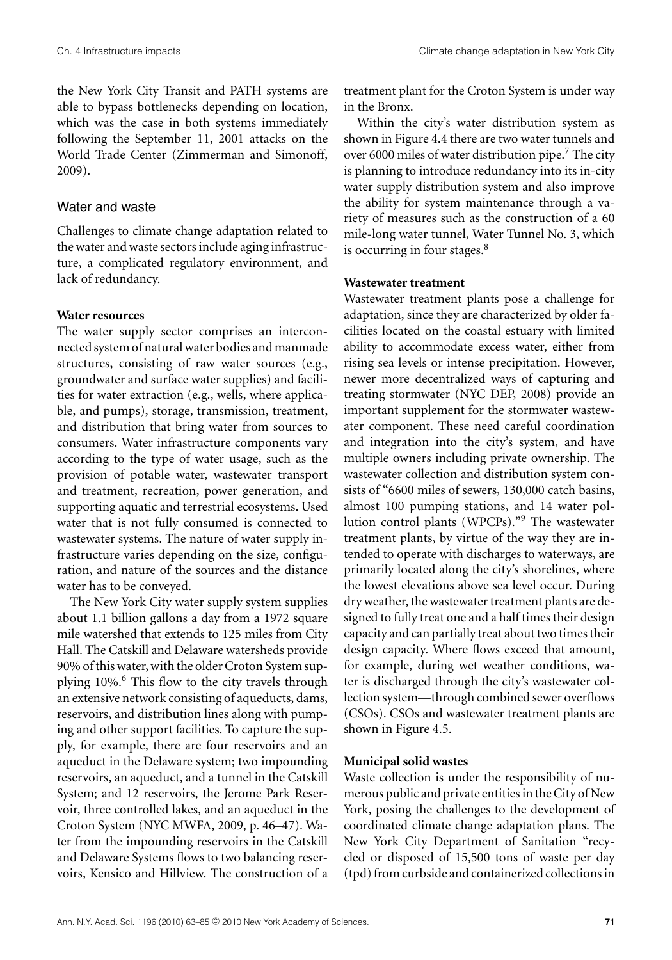the New York City Transit and PATH systems are able to bypass bottlenecks depending on location, which was the case in both systems immediately following the September 11, 2001 attacks on the World Trade Center (Zimmerman and Simonoff, 2009).

#### Water and waste

Challenges to climate change adaptation related to the water and waste sectors include aging infrastructure, a complicated regulatory environment, and lack of redundancy.

#### **Water resources**

The water supply sector comprises an interconnected system of natural water bodies and manmade structures, consisting of raw water sources (e.g., groundwater and surface water supplies) and facilities for water extraction (e.g., wells, where applicable, and pumps), storage, transmission, treatment, and distribution that bring water from sources to consumers. Water infrastructure components vary according to the type of water usage, such as the provision of potable water, wastewater transport and treatment, recreation, power generation, and supporting aquatic and terrestrial ecosystems. Used water that is not fully consumed is connected to wastewater systems. The nature of water supply infrastructure varies depending on the size, configuration, and nature of the sources and the distance water has to be conveyed.

The New York City water supply system supplies about 1.1 billion gallons a day from a 1972 square mile watershed that extends to 125 miles from City Hall. The Catskill and Delaware watersheds provide 90% of this water, with the older Croton System supplying 10%.6 This flow to the city travels through an extensive network consisting of aqueducts, dams, reservoirs, and distribution lines along with pumping and other support facilities. To capture the supply, for example, there are four reservoirs and an aqueduct in the Delaware system; two impounding reservoirs, an aqueduct, and a tunnel in the Catskill System; and 12 reservoirs, the Jerome Park Reservoir, three controlled lakes, and an aqueduct in the Croton System (NYC MWFA, 2009, p. 46–47). Water from the impounding reservoirs in the Catskill and Delaware Systems flows to two balancing reservoirs, Kensico and Hillview. The construction of a

treatment plant for the Croton System is under way in the Bronx.

Within the city's water distribution system as shown in Figure 4.4 there are two water tunnels and over 6000 miles of water distribution pipe.<sup>7</sup> The city is planning to introduce redundancy into its in-city water supply distribution system and also improve the ability for system maintenance through a variety of measures such as the construction of a 60 mile-long water tunnel, Water Tunnel No. 3, which is occurring in four stages.<sup>8</sup>

## **Wastewater treatment**

Wastewater treatment plants pose a challenge for adaptation, since they are characterized by older facilities located on the coastal estuary with limited ability to accommodate excess water, either from rising sea levels or intense precipitation. However, newer more decentralized ways of capturing and treating stormwater (NYC DEP, 2008) provide an important supplement for the stormwater wastewater component. These need careful coordination and integration into the city's system, and have multiple owners including private ownership. The wastewater collection and distribution system consists of "6600 miles of sewers, 130,000 catch basins, almost 100 pumping stations, and 14 water pollution control plants (WPCPs)."<sup>9</sup> The wastewater treatment plants, by virtue of the way they are intended to operate with discharges to waterways, are primarily located along the city's shorelines, where the lowest elevations above sea level occur. During dry weather, the wastewater treatment plants are designed to fully treat one and a half times their design capacity and can partially treat about two times their design capacity. Where flows exceed that amount, for example, during wet weather conditions, water is discharged through the city's wastewater collection system—through combined sewer overflows (CSOs). CSOs and wastewater treatment plants are shown in Figure 4.5.

#### **Municipal solid wastes**

Waste collection is under the responsibility of numerous public and private entities in the City of New York, posing the challenges to the development of coordinated climate change adaptation plans. The New York City Department of Sanitation "recycled or disposed of 15,500 tons of waste per day (tpd) from curbside and containerized collections in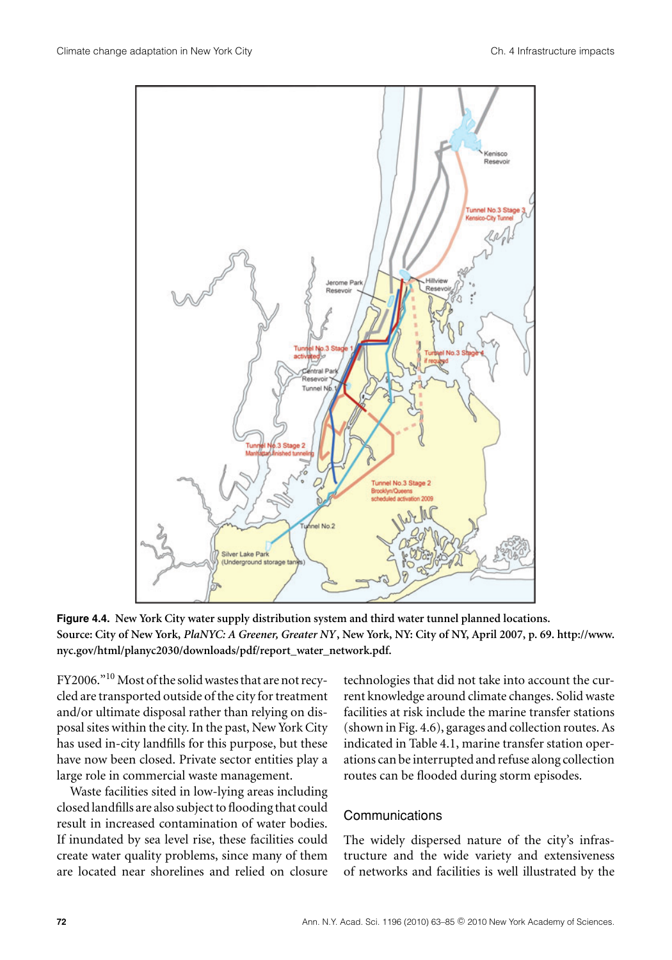

**Figure 4.4. New York City water supply distribution system and third water tunnel planned locations. Source: City of New York,** *PlaNYC: A Greener, Greater NY***, New York, NY: City of NY, April 2007, p. 69. http://www. nyc.gov/html/planyc2030/downloads/pdf/report\_water\_network.pdf.**

FY2006."10 Most of the solid wastes that are not recycled are transported outside of the city for treatment and/or ultimate disposal rather than relying on disposal sites within the city. In the past, New York City has used in-city landfills for this purpose, but these have now been closed. Private sector entities play a large role in commercial waste management.

Waste facilities sited in low-lying areas including closed landfills are also subject to flooding that could result in increased contamination of water bodies. If inundated by sea level rise, these facilities could create water quality problems, since many of them are located near shorelines and relied on closure

technologies that did not take into account the current knowledge around climate changes. Solid waste facilities at risk include the marine transfer stations (shown in Fig. 4.6), garages and collection routes. As indicated in Table 4.1, marine transfer station operations can be interrupted and refuse along collection routes can be flooded during storm episodes.

## **Communications**

The widely dispersed nature of the city's infrastructure and the wide variety and extensiveness of networks and facilities is well illustrated by the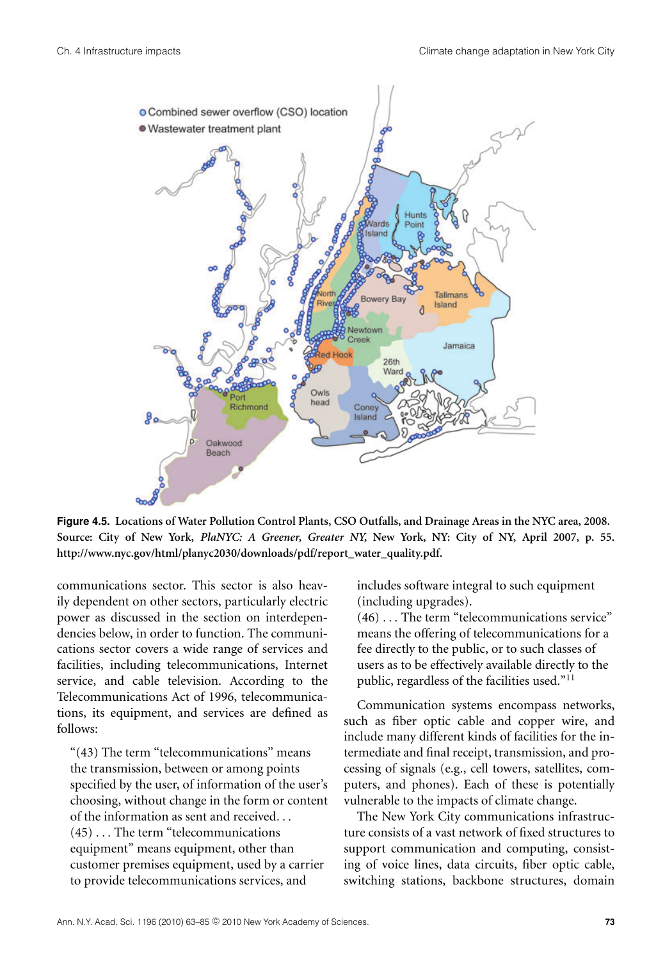

**Figure 4.5. Locations of Water Pollution Control Plants, CSO Outfalls, and Drainage Areas in the NYC area, 2008. Source: City of New York,** *PlaNYC: A Greener, Greater NY,* **New York, NY: City of NY, April 2007, p. 55. http://www.nyc.gov/html/planyc2030/downloads/pdf/report\_water\_quality.pdf.**

communications sector. This sector is also heavily dependent on other sectors, particularly electric power as discussed in the section on interdependencies below, in order to function. The communications sector covers a wide range of services and facilities, including telecommunications, Internet service, and cable television. According to the Telecommunications Act of 1996, telecommunications, its equipment, and services are defined as follows:

"(43) The term "telecommunications" means the transmission, between or among points specified by the user, of information of the user's choosing, without change in the form or content of the information as sent and received... (45) ... The term "telecommunications equipment" means equipment, other than customer premises equipment, used by a carrier to provide telecommunications services, and

includes software integral to such equipment (including upgrades).

(46) ... The term "telecommunications service" means the offering of telecommunications for a fee directly to the public, or to such classes of users as to be effectively available directly to the public, regardless of the facilities used."11

Communication systems encompass networks, such as fiber optic cable and copper wire, and include many different kinds of facilities for the intermediate and final receipt, transmission, and processing of signals (e.g., cell towers, satellites, computers, and phones). Each of these is potentially vulnerable to the impacts of climate change.

The New York City communications infrastructure consists of a vast network of fixed structures to support communication and computing, consisting of voice lines, data circuits, fiber optic cable, switching stations, backbone structures, domain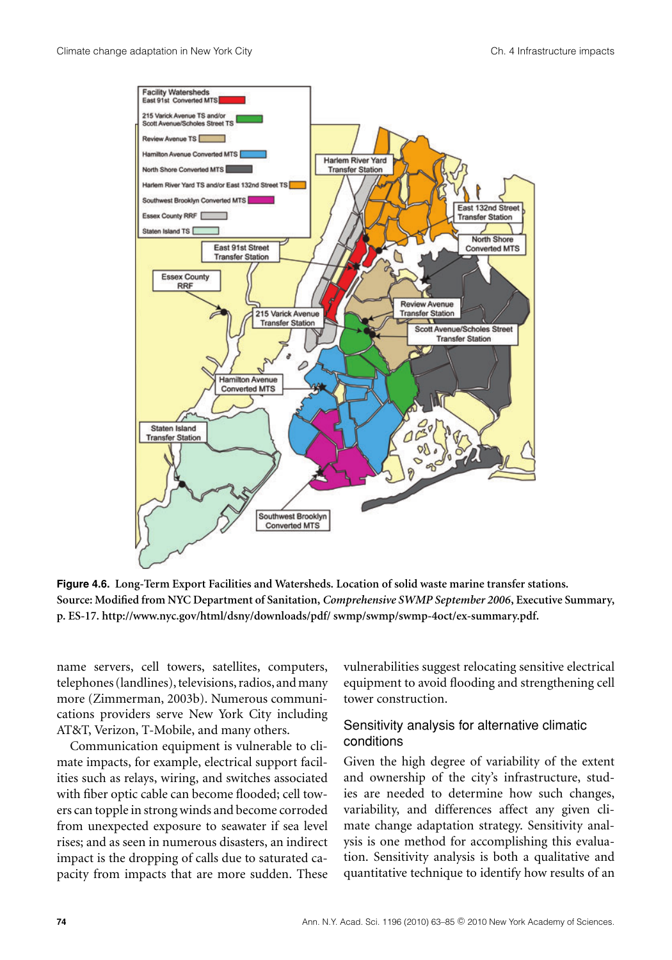

**Figure 4.6. Long-Term Export Facilities and Watersheds. Location of solid waste marine transfer stations. Source: Modified from NYC Department of Sanitation,** *Comprehensive SWMP September 2006***, Executive Summary, p. ES-17. http://www.nyc.gov/html/dsny/downloads/pdf/ swmp/swmp/swmp-4oct/ex-summary.pdf.**

name servers, cell towers, satellites, computers, telephones (landlines), televisions, radios, and many more (Zimmerman, 2003b). Numerous communications providers serve New York City including AT&T, Verizon, T-Mobile, and many others.

Communication equipment is vulnerable to climate impacts, for example, electrical support facilities such as relays, wiring, and switches associated with fiber optic cable can become flooded; cell towers can topple in strong winds and become corroded from unexpected exposure to seawater if sea level rises; and as seen in numerous disasters, an indirect impact is the dropping of calls due to saturated capacity from impacts that are more sudden. These

vulnerabilities suggest relocating sensitive electrical equipment to avoid flooding and strengthening cell tower construction.

## Sensitivity analysis for alternative climatic conditions

Given the high degree of variability of the extent and ownership of the city's infrastructure, studies are needed to determine how such changes, variability, and differences affect any given climate change adaptation strategy. Sensitivity analysis is one method for accomplishing this evaluation. Sensitivity analysis is both a qualitative and quantitative technique to identify how results of an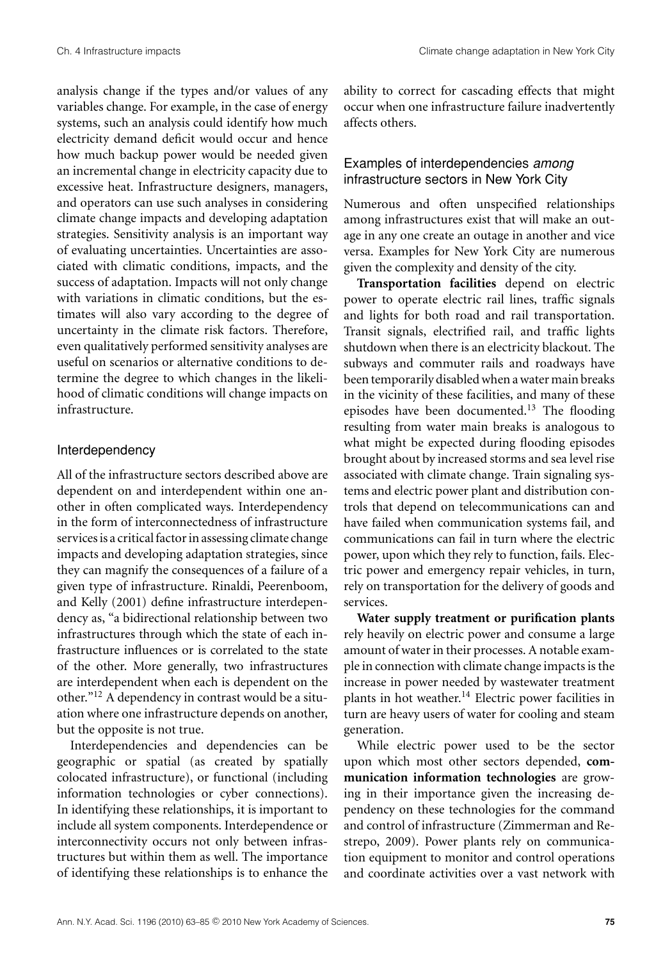analysis change if the types and/or values of any variables change. For example, in the case of energy systems, such an analysis could identify how much electricity demand deficit would occur and hence how much backup power would be needed given an incremental change in electricity capacity due to excessive heat. Infrastructure designers, managers, and operators can use such analyses in considering climate change impacts and developing adaptation strategies. Sensitivity analysis is an important way of evaluating uncertainties. Uncertainties are associated with climatic conditions, impacts, and the success of adaptation. Impacts will not only change with variations in climatic conditions, but the estimates will also vary according to the degree of uncertainty in the climate risk factors. Therefore, even qualitatively performed sensitivity analyses are useful on scenarios or alternative conditions to determine the degree to which changes in the likelihood of climatic conditions will change impacts on infrastructure.

## Interdependency

All of the infrastructure sectors described above are dependent on and interdependent within one another in often complicated ways. Interdependency in the form of interconnectedness of infrastructure services is a critical factor in assessing climate change impacts and developing adaptation strategies, since they can magnify the consequences of a failure of a given type of infrastructure. Rinaldi, Peerenboom, and Kelly (2001) define infrastructure interdependency as, "a bidirectional relationship between two infrastructures through which the state of each infrastructure influences or is correlated to the state of the other. More generally, two infrastructures are interdependent when each is dependent on the other."12 A dependency in contrast would be a situation where one infrastructure depends on another, but the opposite is not true.

Interdependencies and dependencies can be geographic or spatial (as created by spatially colocated infrastructure), or functional (including information technologies or cyber connections). In identifying these relationships, it is important to include all system components. Interdependence or interconnectivity occurs not only between infrastructures but within them as well. The importance of identifying these relationships is to enhance the

ability to correct for cascading effects that might occur when one infrastructure failure inadvertently affects others.

## Examples of interdependencies among infrastructure sectors in New York City

Numerous and often unspecified relationships among infrastructures exist that will make an outage in any one create an outage in another and vice versa. Examples for New York City are numerous given the complexity and density of the city.

**Transportation facilities** depend on electric power to operate electric rail lines, traffic signals and lights for both road and rail transportation. Transit signals, electrified rail, and traffic lights shutdown when there is an electricity blackout. The subways and commuter rails and roadways have been temporarily disabled when a water main breaks in the vicinity of these facilities, and many of these episodes have been documented.<sup>13</sup> The flooding resulting from water main breaks is analogous to what might be expected during flooding episodes brought about by increased storms and sea level rise associated with climate change. Train signaling systems and electric power plant and distribution controls that depend on telecommunications can and have failed when communication systems fail, and communications can fail in turn where the electric power, upon which they rely to function, fails. Electric power and emergency repair vehicles, in turn, rely on transportation for the delivery of goods and services.

**Water supply treatment or purification plants** rely heavily on electric power and consume a large amount of water in their processes. A notable example in connection with climate change impacts is the increase in power needed by wastewater treatment plants in hot weather.<sup>14</sup> Electric power facilities in turn are heavy users of water for cooling and steam generation.

While electric power used to be the sector upon which most other sectors depended, **communication information technologies** are growing in their importance given the increasing dependency on these technologies for the command and control of infrastructure (Zimmerman and Restrepo, 2009). Power plants rely on communication equipment to monitor and control operations and coordinate activities over a vast network with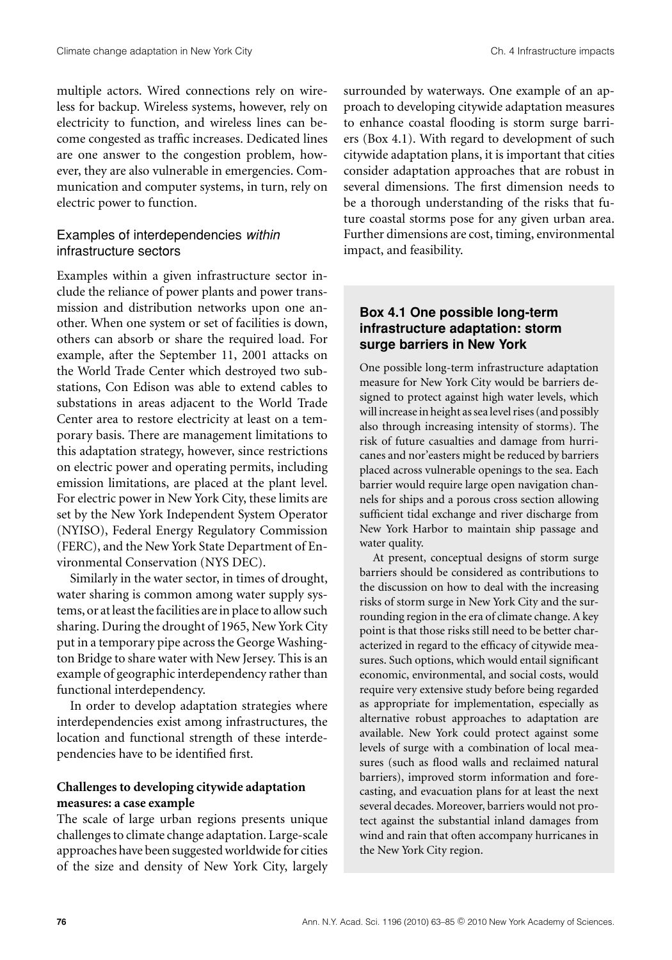multiple actors. Wired connections rely on wireless for backup. Wireless systems, however, rely on electricity to function, and wireless lines can become congested as traffic increases. Dedicated lines are one answer to the congestion problem, however, they are also vulnerable in emergencies. Communication and computer systems, in turn, rely on electric power to function.

## Examples of interdependencies within infrastructure sectors

Examples within a given infrastructure sector include the reliance of power plants and power transmission and distribution networks upon one another. When one system or set of facilities is down, others can absorb or share the required load. For example, after the September 11, 2001 attacks on the World Trade Center which destroyed two substations, Con Edison was able to extend cables to substations in areas adjacent to the World Trade Center area to restore electricity at least on a temporary basis. There are management limitations to this adaptation strategy, however, since restrictions on electric power and operating permits, including emission limitations, are placed at the plant level. For electric power in New York City, these limits are set by the New York Independent System Operator (NYISO), Federal Energy Regulatory Commission (FERC), and the New York State Department of Environmental Conservation (NYS DEC).

Similarly in the water sector, in times of drought, water sharing is common among water supply systems, or at least the facilities are in place to allow such sharing. During the drought of 1965, New York City put in a temporary pipe across the George Washington Bridge to share water with New Jersey. This is an example of geographic interdependency rather than functional interdependency.

In order to develop adaptation strategies where interdependencies exist among infrastructures, the location and functional strength of these interdependencies have to be identified first.

## **Challenges to developing citywide adaptation measures: a case example**

The scale of large urban regions presents unique challenges to climate change adaptation. Large-scale approaches have been suggested worldwide for cities of the size and density of New York City, largely

surrounded by waterways. One example of an approach to developing citywide adaptation measures to enhance coastal flooding is storm surge barriers (Box 4.1). With regard to development of such citywide adaptation plans, it is important that cities consider adaptation approaches that are robust in several dimensions. The first dimension needs to be a thorough understanding of the risks that future coastal storms pose for any given urban area. Further dimensions are cost, timing, environmental impact, and feasibility.

## **Box 4.1 One possible long-term infrastructure adaptation: storm surge barriers in New York**

One possible long-term infrastructure adaptation measure for New York City would be barriers designed to protect against high water levels, which will increase in height as sea level rises (and possibly also through increasing intensity of storms). The risk of future casualties and damage from hurricanes and nor'easters might be reduced by barriers placed across vulnerable openings to the sea. Each barrier would require large open navigation channels for ships and a porous cross section allowing sufficient tidal exchange and river discharge from New York Harbor to maintain ship passage and water quality.

At present, conceptual designs of storm surge barriers should be considered as contributions to the discussion on how to deal with the increasing risks of storm surge in New York City and the surrounding region in the era of climate change. A key point is that those risks still need to be better characterized in regard to the efficacy of citywide measures. Such options, which would entail significant economic, environmental, and social costs, would require very extensive study before being regarded as appropriate for implementation, especially as alternative robust approaches to adaptation are available. New York could protect against some levels of surge with a combination of local measures (such as flood walls and reclaimed natural barriers), improved storm information and forecasting, and evacuation plans for at least the next several decades. Moreover, barriers would not protect against the substantial inland damages from wind and rain that often accompany hurricanes in the New York City region.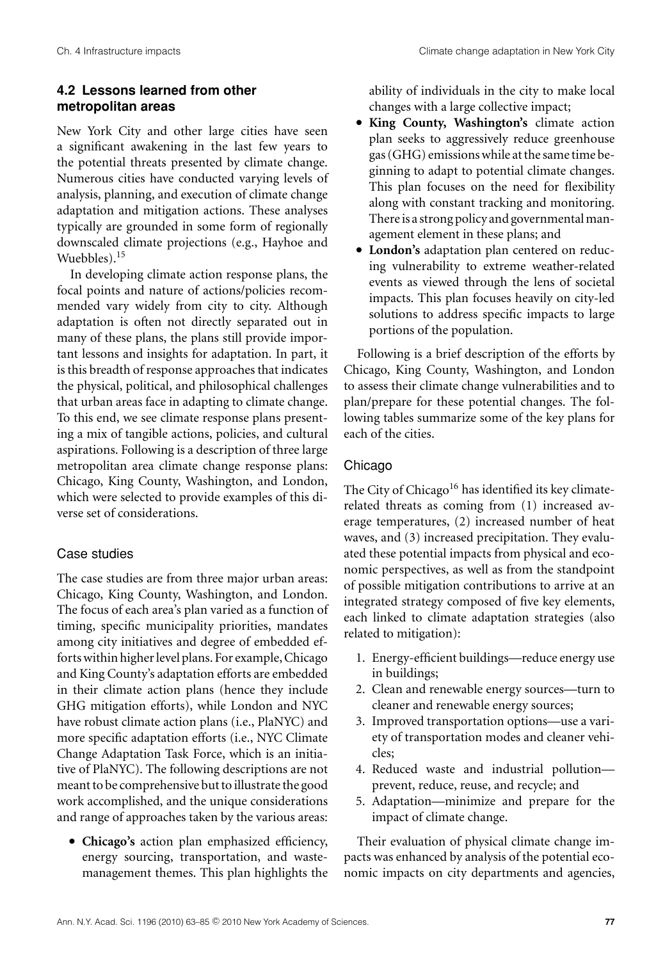# **4.2 Lessons learned from other metropolitan areas**

New York City and other large cities have seen a significant awakening in the last few years to the potential threats presented by climate change. Numerous cities have conducted varying levels of analysis, planning, and execution of climate change adaptation and mitigation actions. These analyses typically are grounded in some form of regionally downscaled climate projections (e.g., Hayhoe and Wuebbles).<sup>15</sup>

In developing climate action response plans, the focal points and nature of actions/policies recommended vary widely from city to city. Although adaptation is often not directly separated out in many of these plans, the plans still provide important lessons and insights for adaptation. In part, it is this breadth of response approaches that indicates the physical, political, and philosophical challenges that urban areas face in adapting to climate change. To this end, we see climate response plans presenting a mix of tangible actions, policies, and cultural aspirations. Following is a description of three large metropolitan area climate change response plans: Chicago, King County, Washington, and London, which were selected to provide examples of this diverse set of considerations.

## Case studies

The case studies are from three major urban areas: Chicago, King County, Washington, and London. The focus of each area's plan varied as a function of timing, specific municipality priorities, mandates among city initiatives and degree of embedded efforts within higher level plans. For example, Chicago and King County's adaptation efforts are embedded in their climate action plans (hence they include GHG mitigation efforts), while London and NYC have robust climate action plans (i.e., PlaNYC) and more specific adaptation efforts (i.e., NYC Climate Change Adaptation Task Force, which is an initiative of PlaNYC). The following descriptions are not meant to be comprehensive but to illustrate the good work accomplished, and the unique considerations and range of approaches taken by the various areas:

• **Chicago's** action plan emphasized efficiency, energy sourcing, transportation, and wastemanagement themes. This plan highlights the ability of individuals in the city to make local changes with a large collective impact;

- **King County, Washington's** climate action plan seeks to aggressively reduce greenhouse gas (GHG) emissions while at the same time beginning to adapt to potential climate changes. This plan focuses on the need for flexibility along with constant tracking and monitoring. There is a strong policy and governmental management element in these plans; and
- **London's** adaptation plan centered on reducing vulnerability to extreme weather-related events as viewed through the lens of societal impacts. This plan focuses heavily on city-led solutions to address specific impacts to large portions of the population.

Following is a brief description of the efforts by Chicago, King County, Washington, and London to assess their climate change vulnerabilities and to plan/prepare for these potential changes. The following tables summarize some of the key plans for each of the cities.

## Chicago

The City of Chicago<sup>16</sup> has identified its key climaterelated threats as coming from (1) increased average temperatures, (2) increased number of heat waves, and (3) increased precipitation. They evaluated these potential impacts from physical and economic perspectives, as well as from the standpoint of possible mitigation contributions to arrive at an integrated strategy composed of five key elements, each linked to climate adaptation strategies (also related to mitigation):

- 1. Energy-efficient buildings—reduce energy use in buildings;
- 2. Clean and renewable energy sources—turn to cleaner and renewable energy sources;
- 3. Improved transportation options—use a variety of transportation modes and cleaner vehicles;
- 4. Reduced waste and industrial pollution prevent, reduce, reuse, and recycle; and
- 5. Adaptation—minimize and prepare for the impact of climate change.

Their evaluation of physical climate change impacts was enhanced by analysis of the potential economic impacts on city departments and agencies,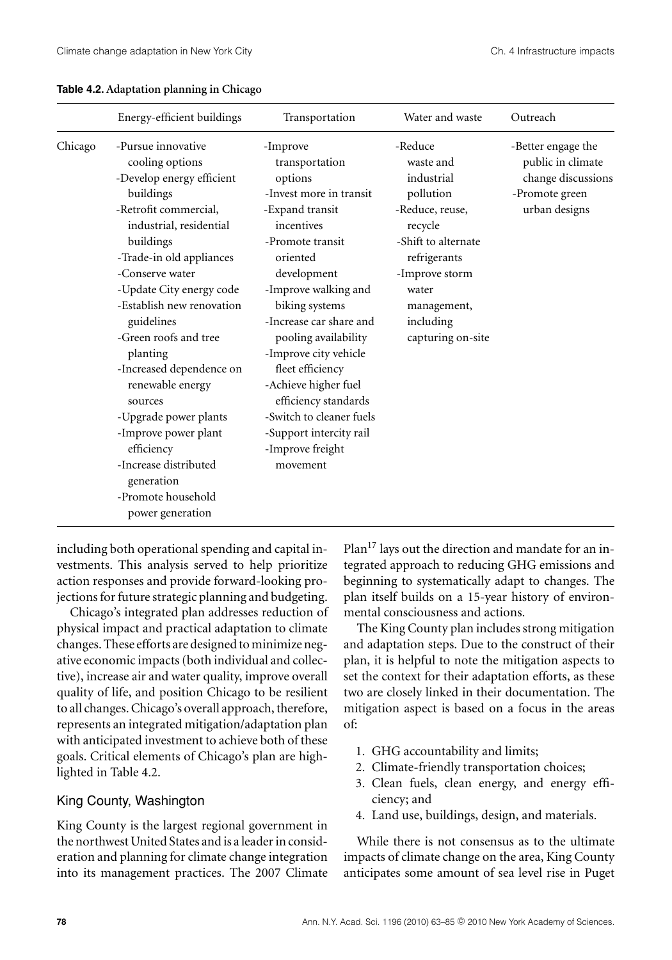|         | Energy-efficient buildings                                                                                                                                                                                                                                                                                                                                                                                                                                                                                             | Transportation                                                                                                                                                                                                                                                                                                                                                                                                                    | Water and waste                                                                                                                                                                                  | Outreach                                                                                         |
|---------|------------------------------------------------------------------------------------------------------------------------------------------------------------------------------------------------------------------------------------------------------------------------------------------------------------------------------------------------------------------------------------------------------------------------------------------------------------------------------------------------------------------------|-----------------------------------------------------------------------------------------------------------------------------------------------------------------------------------------------------------------------------------------------------------------------------------------------------------------------------------------------------------------------------------------------------------------------------------|--------------------------------------------------------------------------------------------------------------------------------------------------------------------------------------------------|--------------------------------------------------------------------------------------------------|
| Chicago | -Pursue innovative<br>cooling options<br>-Develop energy efficient<br>buildings<br>-Retrofit commercial,<br>industrial, residential<br>buildings<br>-Trade-in old appliances<br>-Conserve water<br>-Update City energy code<br>-Establish new renovation<br>guidelines<br>-Green roofs and tree<br>planting<br>-Increased dependence on<br>renewable energy<br>sources<br>-Upgrade power plants<br>-Improve power plant<br>efficiency<br>-Increase distributed<br>generation<br>-Promote household<br>power generation | -Improve<br>transportation<br>options<br>-Invest more in transit<br>-Expand transit<br>incentives<br>-Promote transit<br>oriented<br>development<br>-Improve walking and<br>biking systems<br>-Increase car share and<br>pooling availability<br>-Improve city vehicle<br>fleet efficiency<br>-Achieve higher fuel<br>efficiency standards<br>-Switch to cleaner fuels<br>-Support intercity rail<br>-Improve freight<br>movement | -Reduce<br>waste and<br>industrial<br>pollution<br>-Reduce, reuse,<br>recycle<br>-Shift to alternate<br>refrigerants<br>-Improve storm<br>water<br>management,<br>including<br>capturing on-site | -Better engage the<br>public in climate<br>change discussions<br>-Promote green<br>urban designs |

#### **Table 4.2. Adaptation planning in Chicago**

including both operational spending and capital investments. This analysis served to help prioritize action responses and provide forward-looking projections for future strategic planning and budgeting.

Chicago's integrated plan addresses reduction of physical impact and practical adaptation to climate changes. These efforts are designed to minimize negative economic impacts (both individual and collective), increase air and water quality, improve overall quality of life, and position Chicago to be resilient to all changes. Chicago's overall approach, therefore, represents an integrated mitigation/adaptation plan with anticipated investment to achieve both of these goals. Critical elements of Chicago's plan are highlighted in Table 4.2.

## King County, Washington

King County is the largest regional government in the northwest United States and is a leader in consideration and planning for climate change integration into its management practices. The 2007 Climate Plan<sup>17</sup> lays out the direction and mandate for an integrated approach to reducing GHG emissions and beginning to systematically adapt to changes. The plan itself builds on a 15-year history of environmental consciousness and actions.

The King County plan includes strong mitigation and adaptation steps. Due to the construct of their plan, it is helpful to note the mitigation aspects to set the context for their adaptation efforts, as these two are closely linked in their documentation. The mitigation aspect is based on a focus in the areas of:

- 1. GHG accountability and limits;
- 2. Climate-friendly transportation choices;
- 3. Clean fuels, clean energy, and energy efficiency; and
- 4. Land use, buildings, design, and materials.

While there is not consensus as to the ultimate impacts of climate change on the area, King County anticipates some amount of sea level rise in Puget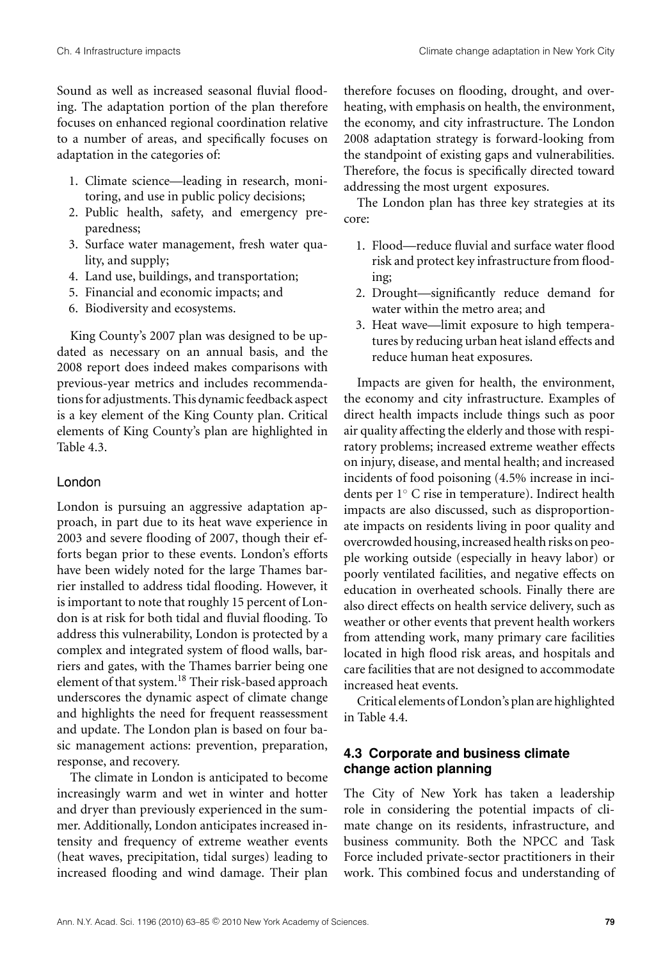Sound as well as increased seasonal fluvial flooding. The adaptation portion of the plan therefore focuses on enhanced regional coordination relative to a number of areas, and specifically focuses on adaptation in the categories of:

- 1. Climate science—leading in research, monitoring, and use in public policy decisions;
- 2. Public health, safety, and emergency preparedness;
- 3. Surface water management, fresh water quality, and supply;
- 4. Land use, buildings, and transportation;
- 5. Financial and economic impacts; and
- 6. Biodiversity and ecosystems.

King County's 2007 plan was designed to be updated as necessary on an annual basis, and the 2008 report does indeed makes comparisons with previous-year metrics and includes recommendations for adjustments. This dynamic feedback aspect is a key element of the King County plan. Critical elements of King County's plan are highlighted in Table 4.3.

## London

London is pursuing an aggressive adaptation approach, in part due to its heat wave experience in 2003 and severe flooding of 2007, though their efforts began prior to these events. London's efforts have been widely noted for the large Thames barrier installed to address tidal flooding. However, it is important to note that roughly 15 percent of London is at risk for both tidal and fluvial flooding. To address this vulnerability, London is protected by a complex and integrated system of flood walls, barriers and gates, with the Thames barrier being one element of that system.<sup>18</sup> Their risk-based approach underscores the dynamic aspect of climate change and highlights the need for frequent reassessment and update. The London plan is based on four basic management actions: prevention, preparation, response, and recovery.

The climate in London is anticipated to become increasingly warm and wet in winter and hotter and dryer than previously experienced in the summer. Additionally, London anticipates increased intensity and frequency of extreme weather events (heat waves, precipitation, tidal surges) leading to increased flooding and wind damage. Their plan therefore focuses on flooding, drought, and overheating, with emphasis on health, the environment, the economy, and city infrastructure. The London 2008 adaptation strategy is forward-looking from the standpoint of existing gaps and vulnerabilities. Therefore, the focus is specifically directed toward addressing the most urgent exposures.

The London plan has three key strategies at its core:

- 1. Flood—reduce fluvial and surface water flood risk and protect key infrastructure from flooding;
- 2. Drought—significantly reduce demand for water within the metro area; and
- 3. Heat wave—limit exposure to high temperatures by reducing urban heat island effects and reduce human heat exposures.

Impacts are given for health, the environment, the economy and city infrastructure. Examples of direct health impacts include things such as poor air quality affecting the elderly and those with respiratory problems; increased extreme weather effects on injury, disease, and mental health; and increased incidents of food poisoning (4.5% increase in incidents per 1◦ C rise in temperature). Indirect health impacts are also discussed, such as disproportionate impacts on residents living in poor quality and overcrowded housing, increased health risks on people working outside (especially in heavy labor) or poorly ventilated facilities, and negative effects on education in overheated schools. Finally there are also direct effects on health service delivery, such as weather or other events that prevent health workers from attending work, many primary care facilities located in high flood risk areas, and hospitals and care facilities that are not designed to accommodate increased heat events.

Critical elements of London's plan are highlighted in Table 4.4.

# **4.3 Corporate and business climate change action planning**

The City of New York has taken a leadership role in considering the potential impacts of climate change on its residents, infrastructure, and business community. Both the NPCC and Task Force included private-sector practitioners in their work. This combined focus and understanding of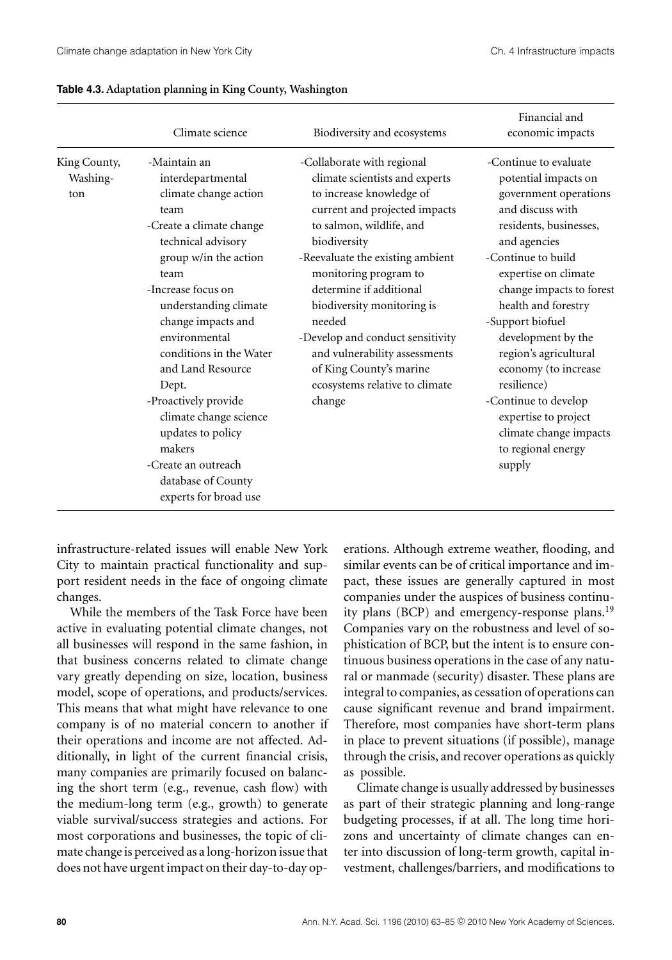|                                 | Climate science                                                                                                                                                                                                                                                                                                                                                                                                                                             | Biodiversity and ecosystems                                                                                                                                                                                                                                                                                                                                                                                                                       | Financial and<br>economic impacts                                                                                                                                                                                                                                                                                                                                                                                                                         |
|---------------------------------|-------------------------------------------------------------------------------------------------------------------------------------------------------------------------------------------------------------------------------------------------------------------------------------------------------------------------------------------------------------------------------------------------------------------------------------------------------------|---------------------------------------------------------------------------------------------------------------------------------------------------------------------------------------------------------------------------------------------------------------------------------------------------------------------------------------------------------------------------------------------------------------------------------------------------|-----------------------------------------------------------------------------------------------------------------------------------------------------------------------------------------------------------------------------------------------------------------------------------------------------------------------------------------------------------------------------------------------------------------------------------------------------------|
| King County,<br>Washing-<br>ton | -Maintain an<br>interdepartmental<br>climate change action<br>team<br>-Create a climate change<br>technical advisory<br>group w/in the action<br>team<br>-Increase focus on<br>understanding climate<br>change impacts and<br>environmental<br>conditions in the Water<br>and Land Resource<br>Dept.<br>-Proactively provide<br>climate change science<br>updates to policy<br>makers<br>-Create an outreach<br>database of County<br>experts for broad use | -Collaborate with regional<br>climate scientists and experts<br>to increase knowledge of<br>current and projected impacts<br>to salmon, wildlife, and<br>biodiversity<br>-Reevaluate the existing ambient<br>monitoring program to<br>determine if additional<br>biodiversity monitoring is<br>needed<br>-Develop and conduct sensitivity<br>and vulnerability assessments<br>of King County's marine<br>ecosystems relative to climate<br>change | -Continue to evaluate<br>potential impacts on<br>government operations<br>and discuss with<br>residents, businesses,<br>and agencies<br>-Continue to build<br>expertise on climate<br>change impacts to forest<br>health and forestry<br>-Support biofuel<br>development by the<br>region's agricultural<br>economy (to increase<br>resilience)<br>-Continue to develop<br>expertise to project<br>climate change impacts<br>to regional energy<br>supply |

#### **Table 4.3. Adaptation planning in King County, Washington**

infrastructure-related issues will enable New York City to maintain practical functionality and support resident needs in the face of ongoing climate changes.

While the members of the Task Force have been active in evaluating potential climate changes, not all businesses will respond in the same fashion, in that business concerns related to climate change vary greatly depending on size, location, business model, scope of operations, and products/services. This means that what might have relevance to one company is of no material concern to another if their operations and income are not affected. Additionally, in light of the current financial crisis, many companies are primarily focused on balancing the short term (e.g., revenue, cash flow) with the medium-long term (e.g., growth) to generate viable survival/success strategies and actions. For most corporations and businesses, the topic of climate change is perceived as a long-horizon issue that does not have urgent impact on their day-to-day operations. Although extreme weather, flooding, and similar events can be of critical importance and impact, these issues are generally captured in most companies under the auspices of business continuity plans (BCP) and emergency-response plans.<sup>19</sup> Companies vary on the robustness and level of sophistication of BCP, but the intent is to ensure continuous business operations in the case of any natural or manmade (security) disaster. These plans are integral to companies, as cessation of operations can cause significant revenue and brand impairment. Therefore, most companies have short-term plans in place to prevent situations (if possible), manage through the crisis, and recover operations as quickly as possible.

Climate change is usually addressed by businesses as part of their strategic planning and long-range budgeting processes, if at all. The long time horizons and uncertainty of climate changes can enter into discussion of long-term growth, capital investment, challenges/barriers, and modifications to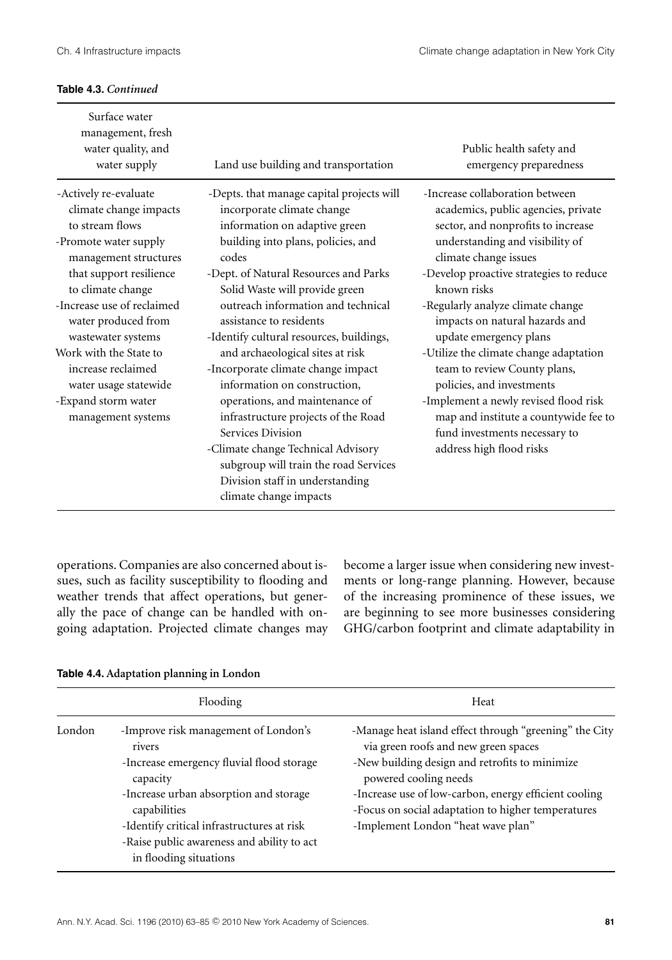| Surface water<br>management, fresh<br>water quality, and<br>water supply                                                                                                                                                                                                                                                                                              | Land use building and transportation                                                                                                                                                                                                                                                                                                                                                                                                                                                                                                                                                                                                   | Public health safety and<br>emergency preparedness                                                                                                                                                                                                                                                                                                                                                                                                                                                                                                                                        |
|-----------------------------------------------------------------------------------------------------------------------------------------------------------------------------------------------------------------------------------------------------------------------------------------------------------------------------------------------------------------------|----------------------------------------------------------------------------------------------------------------------------------------------------------------------------------------------------------------------------------------------------------------------------------------------------------------------------------------------------------------------------------------------------------------------------------------------------------------------------------------------------------------------------------------------------------------------------------------------------------------------------------------|-------------------------------------------------------------------------------------------------------------------------------------------------------------------------------------------------------------------------------------------------------------------------------------------------------------------------------------------------------------------------------------------------------------------------------------------------------------------------------------------------------------------------------------------------------------------------------------------|
| -Actively re-evaluate<br>climate change impacts<br>to stream flows<br>-Promote water supply<br>management structures<br>that support resilience<br>to climate change<br>-Increase use of reclaimed<br>water produced from<br>wastewater systems<br>Work with the State to<br>increase reclaimed<br>water usage statewide<br>-Expand storm water<br>management systems | -Depts. that manage capital projects will<br>incorporate climate change<br>information on adaptive green<br>building into plans, policies, and<br>codes<br>-Dept. of Natural Resources and Parks<br>Solid Waste will provide green<br>outreach information and technical<br>assistance to residents<br>-Identify cultural resources, buildings,<br>and archaeological sites at risk<br>-Incorporate climate change impact<br>information on construction,<br>operations, and maintenance of<br>infrastructure projects of the Road<br>Services Division<br>-Climate change Technical Advisory<br>subgroup will train the road Services | -Increase collaboration between<br>academics, public agencies, private<br>sector, and nonprofits to increase<br>understanding and visibility of<br>climate change issues<br>-Develop proactive strategies to reduce<br>known risks<br>-Regularly analyze climate change<br>impacts on natural hazards and<br>update emergency plans<br>-Utilize the climate change adaptation<br>team to review County plans,<br>policies, and investments<br>-Implement a newly revised flood risk<br>map and institute a countywide fee to<br>fund investments necessary to<br>address high flood risks |
|                                                                                                                                                                                                                                                                                                                                                                       | Division staff in understanding<br>climate change impacts                                                                                                                                                                                                                                                                                                                                                                                                                                                                                                                                                                              |                                                                                                                                                                                                                                                                                                                                                                                                                                                                                                                                                                                           |

#### **Table 4.3.** *Continued*

operations. Companies are also concerned about issues, such as facility susceptibility to flooding and weather trends that affect operations, but generally the pace of change can be handled with ongoing adaptation. Projected climate changes may become a larger issue when considering new investments or long-range planning. However, because of the increasing prominence of these issues, we are beginning to see more businesses considering GHG/carbon footprint and climate adaptability in

| Table 4.4. Adaptation planning in London |  |
|------------------------------------------|--|
|------------------------------------------|--|

|        | Flooding                                                                                                                                                                                                                                                      | Heat                                                                                                                                                                                                                                                                                                                           |
|--------|---------------------------------------------------------------------------------------------------------------------------------------------------------------------------------------------------------------------------------------------------------------|--------------------------------------------------------------------------------------------------------------------------------------------------------------------------------------------------------------------------------------------------------------------------------------------------------------------------------|
|        |                                                                                                                                                                                                                                                               |                                                                                                                                                                                                                                                                                                                                |
| London | -Improve risk management of London's<br>rivers<br>-Increase emergency fluvial flood storage<br>capacity<br>-Increase urban absorption and storage<br>capabilities<br>-Identify critical infrastructures at risk<br>-Raise public awareness and ability to act | -Manage heat island effect through "greening" the City<br>via green roofs and new green spaces<br>-New building design and retrofits to minimize<br>powered cooling needs<br>-Increase use of low-carbon, energy efficient cooling<br>-Focus on social adaptation to higher temperatures<br>-Implement London "heat wave plan" |
|        | in flooding situations                                                                                                                                                                                                                                        |                                                                                                                                                                                                                                                                                                                                |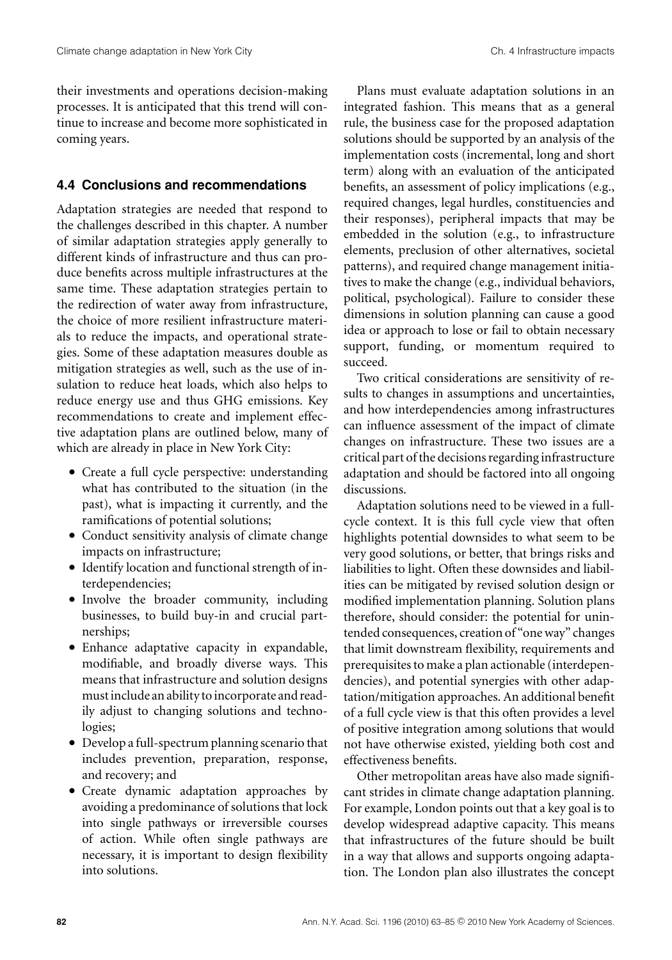their investments and operations decision-making processes. It is anticipated that this trend will continue to increase and become more sophisticated in coming years.

#### **4.4 Conclusions and recommendations**

Adaptation strategies are needed that respond to the challenges described in this chapter. A number of similar adaptation strategies apply generally to different kinds of infrastructure and thus can produce benefits across multiple infrastructures at the same time. These adaptation strategies pertain to the redirection of water away from infrastructure, the choice of more resilient infrastructure materials to reduce the impacts, and operational strategies. Some of these adaptation measures double as mitigation strategies as well, such as the use of insulation to reduce heat loads, which also helps to reduce energy use and thus GHG emissions. Key recommendations to create and implement effective adaptation plans are outlined below, many of which are already in place in New York City:

- Create a full cycle perspective: understanding what has contributed to the situation (in the past), what is impacting it currently, and the ramifications of potential solutions;
- Conduct sensitivity analysis of climate change impacts on infrastructure;
- Identify location and functional strength of interdependencies;
- Involve the broader community, including businesses, to build buy-in and crucial partnerships;
- Enhance adaptative capacity in expandable, modifiable, and broadly diverse ways. This means that infrastructure and solution designs must include an ability to incorporate and readily adjust to changing solutions and technologies;
- Develop a full-spectrum planning scenario that includes prevention, preparation, response, and recovery; and
- Create dynamic adaptation approaches by avoiding a predominance of solutions that lock into single pathways or irreversible courses of action. While often single pathways are necessary, it is important to design flexibility into solutions.

Plans must evaluate adaptation solutions in an integrated fashion. This means that as a general rule, the business case for the proposed adaptation solutions should be supported by an analysis of the implementation costs (incremental, long and short term) along with an evaluation of the anticipated benefits, an assessment of policy implications (e.g., required changes, legal hurdles, constituencies and their responses), peripheral impacts that may be embedded in the solution (e.g., to infrastructure elements, preclusion of other alternatives, societal patterns), and required change management initiatives to make the change (e.g., individual behaviors, political, psychological). Failure to consider these dimensions in solution planning can cause a good idea or approach to lose or fail to obtain necessary support, funding, or momentum required to succeed.

Two critical considerations are sensitivity of results to changes in assumptions and uncertainties, and how interdependencies among infrastructures can influence assessment of the impact of climate changes on infrastructure. These two issues are a critical part of the decisions regarding infrastructure adaptation and should be factored into all ongoing discussions.

Adaptation solutions need to be viewed in a fullcycle context. It is this full cycle view that often highlights potential downsides to what seem to be very good solutions, or better, that brings risks and liabilities to light. Often these downsides and liabilities can be mitigated by revised solution design or modified implementation planning. Solution plans therefore, should consider: the potential for unintended consequences, creation of "one way" changes that limit downstream flexibility, requirements and prerequisites to make a plan actionable (interdependencies), and potential synergies with other adaptation/mitigation approaches. An additional benefit of a full cycle view is that this often provides a level of positive integration among solutions that would not have otherwise existed, yielding both cost and effectiveness benefits.

Other metropolitan areas have also made significant strides in climate change adaptation planning. For example, London points out that a key goal is to develop widespread adaptive capacity. This means that infrastructures of the future should be built in a way that allows and supports ongoing adaptation. The London plan also illustrates the concept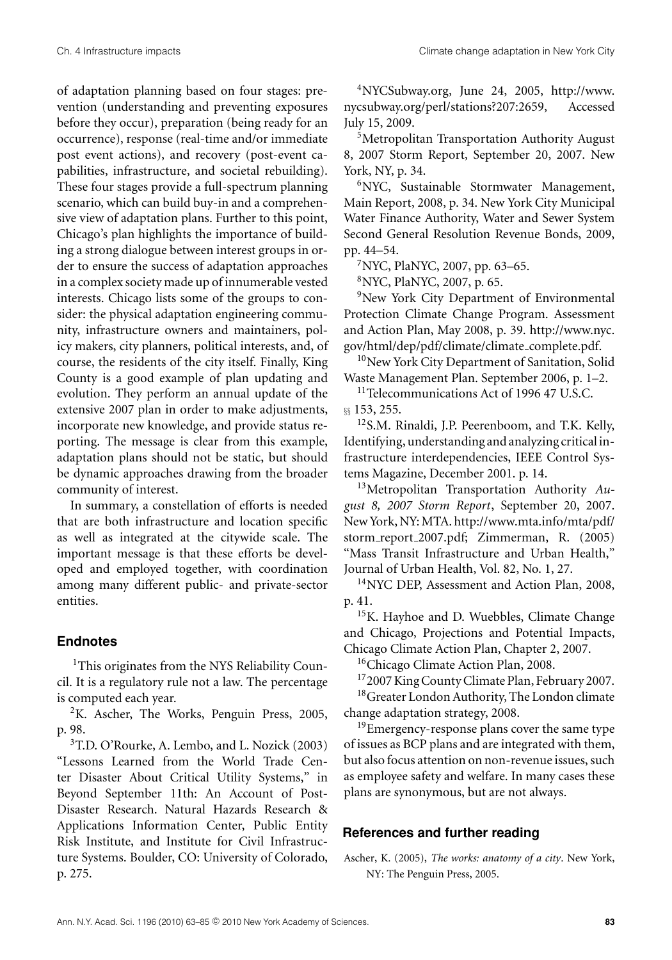of adaptation planning based on four stages: prevention (understanding and preventing exposures before they occur), preparation (being ready for an occurrence), response (real-time and/or immediate post event actions), and recovery (post-event capabilities, infrastructure, and societal rebuilding). These four stages provide a full-spectrum planning scenario, which can build buy-in and a comprehensive view of adaptation plans. Further to this point, Chicago's plan highlights the importance of building a strong dialogue between interest groups in order to ensure the success of adaptation approaches in a complex society made up of innumerable vested interests. Chicago lists some of the groups to consider: the physical adaptation engineering community, infrastructure owners and maintainers, policy makers, city planners, political interests, and, of course, the residents of the city itself. Finally, King County is a good example of plan updating and evolution. They perform an annual update of the extensive 2007 plan in order to make adjustments, incorporate new knowledge, and provide status reporting. The message is clear from this example, adaptation plans should not be static, but should be dynamic approaches drawing from the broader community of interest.

In summary, a constellation of efforts is needed that are both infrastructure and location specific as well as integrated at the citywide scale. The important message is that these efforts be developed and employed together, with coordination among many different public- and private-sector entities.

## **Endnotes**

<sup>1</sup>This originates from the NYS Reliability Council. It is a regulatory rule not a law. The percentage is computed each year.

2K. Ascher, The Works, Penguin Press, 2005, p. 98.

<sup>3</sup>T.D. O'Rourke, A. Lembo, and L. Nozick (2003) "Lessons Learned from the World Trade Center Disaster About Critical Utility Systems," in Beyond September 11th: An Account of Post-Disaster Research. Natural Hazards Research & Applications Information Center, Public Entity Risk Institute, and Institute for Civil Infrastructure Systems. Boulder, CO: University of Colorado, p. 275.

4NYCSubway.org, June 24, 2005, http://www. nycsubway.org/perl/stations?207:2659, Accessed July 15, 2009.

5Metropolitan Transportation Authority August 8, 2007 Storm Report, September 20, 2007. New York, NY, p. 34.

6NYC, Sustainable Stormwater Management, Main Report, 2008, p. 34. New York City Municipal Water Finance Authority, Water and Sewer System Second General Resolution Revenue Bonds, 2009, pp. 44–54.

7NYC, PlaNYC, 2007, pp. 63–65.

8NYC, PlaNYC, 2007, p. 65.

<sup>9</sup>New York City Department of Environmental Protection Climate Change Program. Assessment and Action Plan, May 2008, p. 39. http://www.nyc. gov/html/dep/pdf/climate/climate complete.pdf.

10New York City Department of Sanitation, Solid Waste Management Plan. September 2006, p. 1–2.

<sup>11</sup>Telecommunications Act of 1996 47 U.S.C.

§§ 153, 255.

12S.M. Rinaldi, J.P. Peerenboom, and T.K. Kelly, Identifying, understanding and analyzing critical infrastructure interdependencies, IEEE Control Systems Magazine, December 2001. p. 14.

13Metropolitan Transportation Authority *August 8, 2007 Storm Report*, September 20, 2007. New York, NY: MTA. http://www.mta.info/mta/pdf/ storm report 2007.pdf; Zimmerman, R. (2005) "Mass Transit Infrastructure and Urban Health," Journal of Urban Health, Vol. 82, No. 1, 27.

<sup>14</sup>NYC DEP, Assessment and Action Plan, 2008, p. 41.

15K. Hayhoe and D. Wuebbles, Climate Change and Chicago, Projections and Potential Impacts, Chicago Climate Action Plan, Chapter 2, 2007.

16Chicago Climate Action Plan, 2008.

<sup>17</sup>2007 King County Climate Plan, February 2007.

<sup>18</sup> Greater London Authority, The London climate change adaptation strategy, 2008.

<sup>19</sup>Emergency-response plans cover the same type of issues as BCP plans and are integrated with them, but also focus attention on non-revenue issues, such as employee safety and welfare. In many cases these plans are synonymous, but are not always.

## **References and further reading**

Ascher, K. (2005), *The works: anatomy of a city*. New York, NY: The Penguin Press, 2005.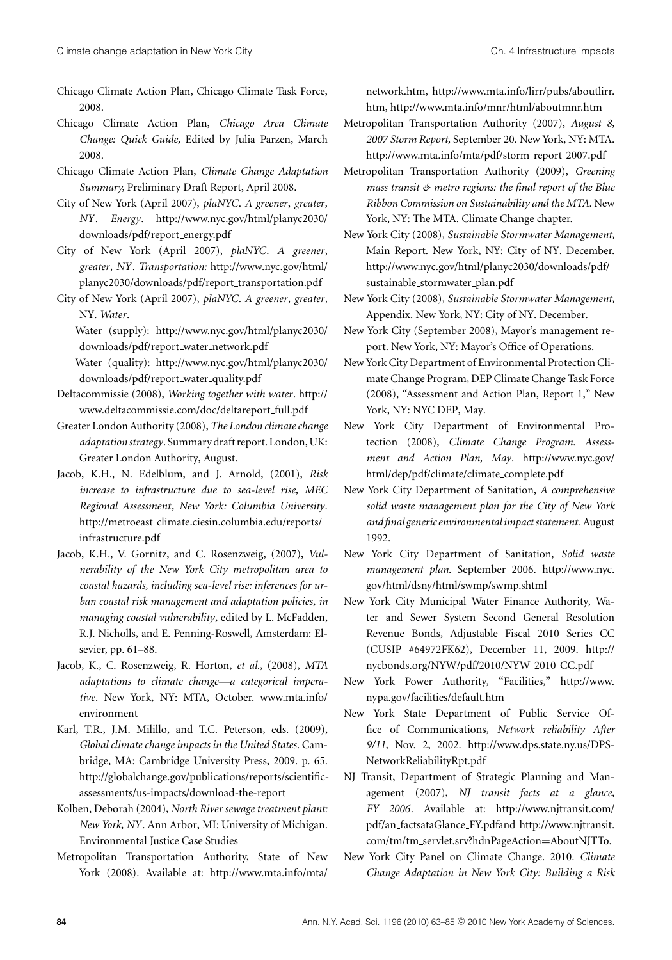- Chicago Climate Action Plan, Chicago Climate Task Force, 2008.
- Chicago Climate Action Plan, *Chicago Area Climate Change: Quick Guide,* Edited by Julia Parzen, March 2008.
- Chicago Climate Action Plan, *Climate Change Adaptation Summary,* Preliminary Draft Report, April 2008.
- City of New York (April 2007), *plaNYC*. *A greener*, *greater, NY*. *Energy*. http://www.nyc.gov/html/planyc2030/ downloads/pdf/report\_energy.pdf
- City of New York (April 2007), *plaNYC*. *A greener*, *greater, NY*. *Transportation:* http://www.nyc.gov/html/ planyc2030/downloads/pdf/report\_transportation.pdf
- City of New York (April 2007), *plaNYC*. *A greener, greater,* NY. *Water*.
	- Water (supply): http://www.nyc.gov/html/planyc2030/ downloads/pdf/report\_water\_network.pdf

Water (quality): http://www.nyc.gov/html/planyc2030/ downloads/pdf/report\_water\_quality.pdf

- Deltacommissie (2008), *Working together with water*. http:// www.deltacommissie.com/doc/deltareport\_full.pdf
- Greater London Authority (2008), *The London climate change adaptation strategy*. Summary draft report. London, UK: Greater London Authority, August.
- Jacob, K.H., N. Edelblum, and J. Arnold, (2001), *Risk increase to infrastructure due to sea-level rise, MEC Regional Assessment, New York: Columbia University*. http://metroeast climate.ciesin.columbia.edu/reports/ infrastructure.pdf
- Jacob, K.H., V. Gornitz, and C. Rosenzweig, (2007), *Vulnerability of the New York City metropolitan area to coastal hazards, including sea-level rise: inferences for urban coastal risk management and adaptation policies, in managing coastal vulnerability,* edited by L. McFadden, R.J. Nicholls, and E. Penning-Roswell, Amsterdam: Elsevier, pp. 61–88.
- Jacob, K., C. Rosenzweig, R. Horton, *et al.*, (2008), *MTA adaptations to climate change—a categorical imperative*. New York, NY: MTA, October. www.mta.info/ environment
- Karl, T.R., J.M. Milillo, and T.C. Peterson, eds. (2009), *Global climate change impacts in the United States*. Cambridge, MA: Cambridge University Press, 2009. p. 65. http://globalchange.gov/publications/reports/scientificassessments/us-impacts/download-the-report
- Kolben, Deborah (2004), *North River sewage treatment plant: New York, NY*. Ann Arbor, MI: University of Michigan. Environmental Justice Case Studies
- Metropolitan Transportation Authority, State of New York (2008). Available at: http://www.mta.info/mta/

network.htm, http://www.mta.info/lirr/pubs/aboutlirr. htm, http://www.mta.info/mnr/html/aboutmnr.htm

- Metropolitan Transportation Authority (2007), *August 8, 2007 Storm Report,* September 20. New York, NY: MTA. http://www.mta.info/mta/pdf/storm\_report\_2007.pdf
- Metropolitan Transportation Authority (2009), *Greening mass transit & metro regions: the final report of the Blue Ribbon Commission on Sustainability and the MTA*. New York, NY: The MTA. Climate Change chapter.
- New York City (2008), *Sustainable Stormwater Management,* Main Report. New York, NY: City of NY. December. http://www.nyc.gov/html/planyc2030/downloads/pdf/ sustainable\_stormwater\_plan.pdf
- New York City (2008), *Sustainable Stormwater Management,* Appendix. New York, NY: City of NY. December.
- New York City (September 2008), Mayor's management report. New York, NY: Mayor's Office of Operations.
- New York City Department of Environmental Protection Climate Change Program, DEP Climate Change Task Force (2008), "Assessment and Action Plan, Report 1," New York, NY: NYC DEP, May.
- New York City Department of Environmental Protection (2008), *Climate Change Program. Assessment and Action Plan, May*. http://www.nyc.gov/ html/dep/pdf/climate/climate complete.pdf
- New York City Department of Sanitation, *A comprehensive solid waste management plan for the City of New York and final generic environmental impact statement*. August 1992.
- New York City Department of Sanitation, *Solid waste management plan*. September 2006. http://www.nyc. gov/html/dsny/html/swmp/swmp.shtml
- New York City Municipal Water Finance Authority, Water and Sewer System Second General Resolution Revenue Bonds, Adjustable Fiscal 2010 Series CC (CUSIP #64972FK62), December 11, 2009. http:// nycbonds.org/NYW/pdf/2010/NYW 2010 CC.pdf
- New York Power Authority, "Facilities," http://www. nypa.gov/facilities/default.htm
- New York State Department of Public Service Office of Communications, *Network reliability After 9/11,* Nov. 2, 2002. http://www.dps.state.ny.us/DPS-NetworkReliabilityRpt.pdf
- NJ Transit, Department of Strategic Planning and Management (2007), *NJ transit facts at a glance, FY 2006*. Available at: http://www.njtransit.com/ pdf/an factsataGlance FY.pdfand http://www.njtransit. com/tm/tm servlet.srv?hdnPageAction=AboutNJTTo.
- New York City Panel on Climate Change. 2010. *Climate Change Adaptation in New York City: Building a Risk*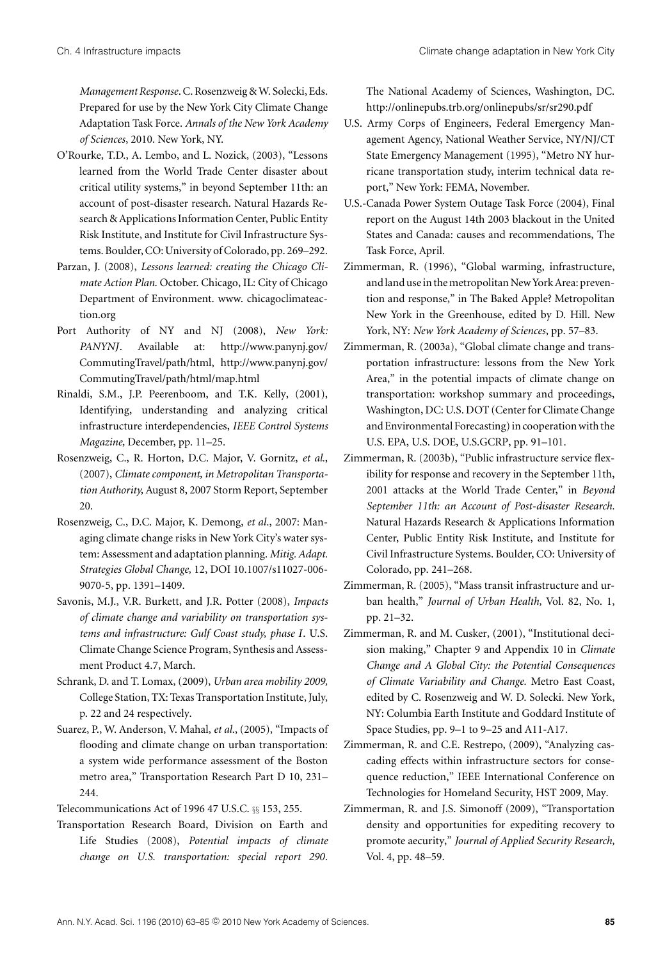*Management Response*. C. Rosenzweig & W. Solecki, Eds. Prepared for use by the New York City Climate Change Adaptation Task Force. *Annals of the New York Academy of Sciences*, 2010. New York, NY.

- O'Rourke, T.D., A. Lembo, and L. Nozick, (2003), "Lessons learned from the World Trade Center disaster about critical utility systems," in beyond September 11th: an account of post-disaster research. Natural Hazards Research & Applications Information Center, Public Entity Risk Institute, and Institute for Civil Infrastructure Systems. Boulder, CO: University of Colorado, pp. 269–292.
- Parzan, J. (2008), *Lessons learned: creating the Chicago Climate Action Plan*. October. Chicago, IL: City of Chicago Department of Environment. www. chicagoclimateaction.org
- Port Authority of NY and NJ (2008), *New York: PANYNJ*. Available at: http://www.panynj.gov/ CommutingTravel/path/html, http://www.panynj.gov/ CommutingTravel/path/html/map.html
- Rinaldi, S.M., J.P. Peerenboom, and T.K. Kelly, (2001), Identifying, understanding and analyzing critical infrastructure interdependencies, *IEEE Control Systems Magazine,* December, pp. 11–25.
- Rosenzweig, C., R. Horton, D.C. Major, V. Gornitz, *et al.*, (2007), *Climate component, in Metropolitan Transportation Authority,* August 8, 2007 Storm Report, September 20.
- Rosenzweig, C., D.C. Major, K. Demong, *et al*., 2007: Managing climate change risks in New York City's water system: Assessment and adaptation planning. *Mitig. Adapt. Strategies Global Change,* 12, DOI 10.1007/s11027-006- 9070-5, pp. 1391–1409.
- Savonis, M.J., V.R. Burkett, and J.R. Potter (2008), *Impacts of climate change and variability on transportation systems and infrastructure: Gulf Coast study, phase I*. U.S. Climate Change Science Program, Synthesis and Assessment Product 4.7, March.
- Schrank, D. and T. Lomax, (2009), *Urban area mobility 2009,* College Station, TX: Texas Transportation Institute, July, p. 22 and 24 respectively.
- Suarez, P., W. Anderson, V. Mahal, *et al.*, (2005), "Impacts of flooding and climate change on urban transportation: a system wide performance assessment of the Boston metro area," Transportation Research Part D 10, 231– 244.

Telecommunications Act of 1996 47 U.S.C. §§ 153, 255.

Transportation Research Board, Division on Earth and Life Studies (2008), *Potential impacts of climate change on U.S. transportation: special report 290*. The National Academy of Sciences, Washington, DC. http://onlinepubs.trb.org/onlinepubs/sr/sr290.pdf

- U.S. Army Corps of Engineers, Federal Emergency Management Agency, National Weather Service, NY/NJ/CT State Emergency Management (1995), "Metro NY hurricane transportation study, interim technical data report," New York: FEMA, November.
- U.S.-Canada Power System Outage Task Force (2004), Final report on the August 14th 2003 blackout in the United States and Canada: causes and recommendations, The Task Force, April.
- Zimmerman, R. (1996), "Global warming, infrastructure, and land use in the metropolitan New York Area: prevention and response," in The Baked Apple? Metropolitan New York in the Greenhouse, edited by D. Hill. New York, NY: *New York Academy of Sciences*, pp. 57–83.
- Zimmerman, R. (2003a), "Global climate change and transportation infrastructure: lessons from the New York Area," in the potential impacts of climate change on transportation: workshop summary and proceedings, Washington, DC: U.S. DOT (Center for Climate Change and Environmental Forecasting) in cooperation with the U.S. EPA, U.S. DOE, U.S.GCRP, pp. 91–101.
- Zimmerman, R. (2003b), "Public infrastructure service flexibility for response and recovery in the September 11th, 2001 attacks at the World Trade Center," in *Beyond September 11th: an Account of Post-disaster Research.* Natural Hazards Research & Applications Information Center, Public Entity Risk Institute, and Institute for Civil Infrastructure Systems. Boulder, CO: University of Colorado, pp. 241–268.
- Zimmerman, R. (2005), "Mass transit infrastructure and urban health," *Journal of Urban Health,* Vol. 82, No. 1, pp. 21–32.
- Zimmerman, R. and M. Cusker, (2001), "Institutional decision making," Chapter 9 and Appendix 10 in *Climate Change and A Global City: the Potential Consequences of Climate Variability and Change.* Metro East Coast, edited by C. Rosenzweig and W. D. Solecki. New York, NY: Columbia Earth Institute and Goddard Institute of Space Studies, pp. 9–1 to 9–25 and A11-A17.
- Zimmerman, R. and C.E. Restrepo, (2009), "Analyzing cascading effects within infrastructure sectors for consequence reduction," IEEE International Conference on Technologies for Homeland Security, HST 2009, May.
- Zimmerman, R. and J.S. Simonoff (2009), "Transportation density and opportunities for expediting recovery to promote aecurity," *Journal of Applied Security Research,* Vol. 4, pp. 48–59.